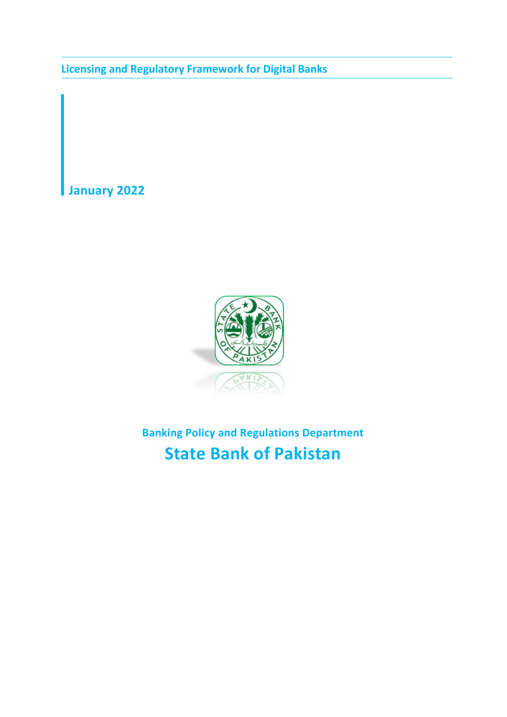**Licensing and Regulatory Framework for Digital Banks**

**January 2022**



**Banking Policy and Regulations Department State Bank of Pakistan**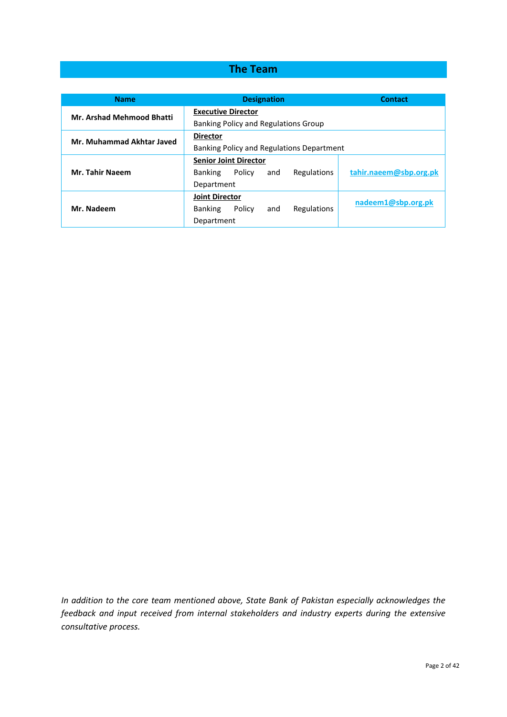## **The Team**

| <b>Name</b>                      | <b>Designation</b>                             | <b>Contact</b>         |  |  |
|----------------------------------|------------------------------------------------|------------------------|--|--|
| <b>Mr. Arshad Mehmood Bhatti</b> | <b>Executive Director</b>                      |                        |  |  |
|                                  | Banking Policy and Regulations Group           |                        |  |  |
| Mr. Muhammad Akhtar Javed        | <b>Director</b>                                |                        |  |  |
|                                  | Banking Policy and Regulations Department      |                        |  |  |
|                                  | <b>Senior Joint Director</b>                   |                        |  |  |
| <b>Mr. Tahir Naeem</b>           | Regulations<br>Policy<br><b>Banking</b><br>and | tahir.naeem@sbp.org.pk |  |  |
|                                  | Department                                     |                        |  |  |
|                                  | <b>Joint Director</b>                          | nadeem1@sbp.org.pk     |  |  |
| Mr. Nadeem                       | Policy<br>Regulations<br><b>Banking</b><br>and |                        |  |  |
|                                  | Department                                     |                        |  |  |

*In addition to the core team mentioned above, State Bank of Pakistan especially acknowledges the feedback and input received from internal stakeholders and industry experts during the extensive consultative process.*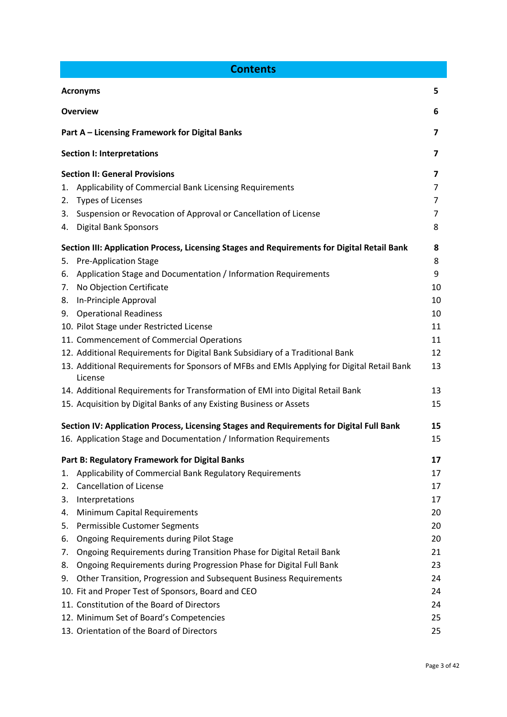| <b>Contents</b>      |                                                                                                       |    |  |  |
|----------------------|-------------------------------------------------------------------------------------------------------|----|--|--|
| <b>Acronyms</b><br>5 |                                                                                                       |    |  |  |
|                      | <b>Overview</b>                                                                                       | 6  |  |  |
|                      | Part A - Licensing Framework for Digital Banks                                                        | 7  |  |  |
|                      | <b>Section I: Interpretations</b>                                                                     | 7  |  |  |
|                      | <b>Section II: General Provisions</b>                                                                 | 7  |  |  |
| 1.                   | Applicability of Commercial Bank Licensing Requirements                                               | 7  |  |  |
| 2.                   | <b>Types of Licenses</b>                                                                              | 7  |  |  |
| 3.                   | Suspension or Revocation of Approval or Cancellation of License                                       | 7  |  |  |
| 4.                   | <b>Digital Bank Sponsors</b>                                                                          | 8  |  |  |
|                      | Section III: Application Process, Licensing Stages and Requirements for Digital Retail Bank           | 8  |  |  |
| 5.                   | <b>Pre-Application Stage</b>                                                                          | 8  |  |  |
| 6.                   | Application Stage and Documentation / Information Requirements                                        | 9  |  |  |
| 7.                   | No Objection Certificate                                                                              | 10 |  |  |
|                      | 8. In-Principle Approval                                                                              | 10 |  |  |
|                      | 9. Operational Readiness                                                                              | 10 |  |  |
|                      | 10. Pilot Stage under Restricted License                                                              | 11 |  |  |
|                      | 11. Commencement of Commercial Operations                                                             | 11 |  |  |
|                      | 12. Additional Requirements for Digital Bank Subsidiary of a Traditional Bank                         | 12 |  |  |
|                      | 13. Additional Requirements for Sponsors of MFBs and EMIs Applying for Digital Retail Bank<br>License | 13 |  |  |
|                      | 14. Additional Requirements for Transformation of EMI into Digital Retail Bank                        | 13 |  |  |
|                      | 15. Acquisition by Digital Banks of any Existing Business or Assets                                   | 15 |  |  |
|                      | Section IV: Application Process, Licensing Stages and Requirements for Digital Full Bank              | 15 |  |  |
|                      | 16. Application Stage and Documentation / Information Requirements                                    | 15 |  |  |
|                      | Part B: Regulatory Framework for Digital Banks                                                        | 17 |  |  |
| 1.                   | Applicability of Commercial Bank Regulatory Requirements                                              | 17 |  |  |
| 2.                   | <b>Cancellation of License</b>                                                                        | 17 |  |  |
| 3.                   | Interpretations                                                                                       | 17 |  |  |
| 4.                   | Minimum Capital Requirements                                                                          | 20 |  |  |
| 5.                   | Permissible Customer Segments                                                                         | 20 |  |  |
| 6.                   | <b>Ongoing Requirements during Pilot Stage</b>                                                        | 20 |  |  |
| 7.                   | Ongoing Requirements during Transition Phase for Digital Retail Bank                                  | 21 |  |  |
| 8.                   | Ongoing Requirements during Progression Phase for Digital Full Bank                                   | 23 |  |  |
| 9.                   | Other Transition, Progression and Subsequent Business Requirements                                    | 24 |  |  |
|                      | 10. Fit and Proper Test of Sponsors, Board and CEO                                                    | 24 |  |  |
|                      | 11. Constitution of the Board of Directors                                                            | 24 |  |  |
|                      | 12. Minimum Set of Board's Competencies                                                               | 25 |  |  |
|                      | 13. Orientation of the Board of Directors                                                             | 25 |  |  |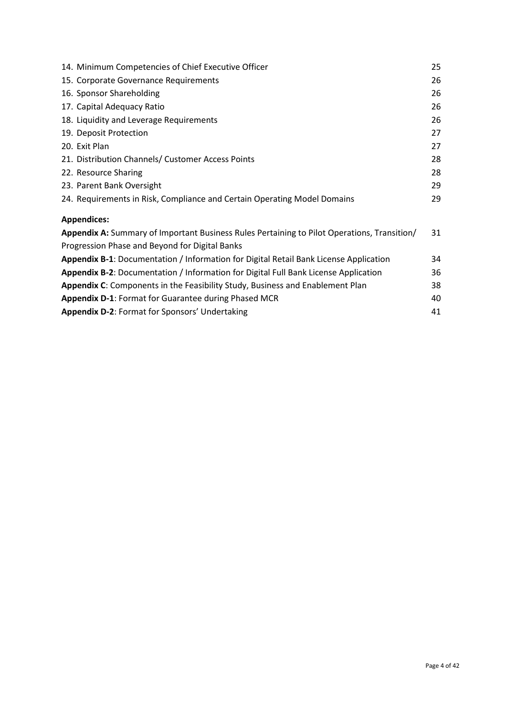| 14. Minimum Competencies of Chief Executive Officer                                         | 25 |  |
|---------------------------------------------------------------------------------------------|----|--|
| 15. Corporate Governance Requirements                                                       | 26 |  |
| 16. Sponsor Shareholding                                                                    | 26 |  |
| 17. Capital Adequacy Ratio                                                                  | 26 |  |
| 18. Liquidity and Leverage Requirements                                                     | 26 |  |
| 19. Deposit Protection                                                                      | 27 |  |
| 20. Exit Plan                                                                               | 27 |  |
| 21. Distribution Channels/ Customer Access Points                                           | 28 |  |
| 22. Resource Sharing                                                                        | 28 |  |
| 23. Parent Bank Oversight                                                                   | 29 |  |
| 24. Requirements in Risk, Compliance and Certain Operating Model Domains                    | 29 |  |
| <b>Appendices:</b>                                                                          |    |  |
| Appendix A: Summary of Important Business Rules Pertaining to Pilot Operations, Transition/ | 31 |  |
| Progression Phase and Beyond for Digital Banks                                              |    |  |
| Appendix B-1: Documentation / Information for Digital Retail Bank License Application       | 34 |  |
| Appendix B-2: Documentation / Information for Digital Full Bank License Application         | 36 |  |
| Appendix C: Components in the Feasibility Study, Business and Enablement Plan               | 38 |  |
| Appendix D-1: Format for Guarantee during Phased MCR                                        |    |  |
| Appendix D-2: Format for Sponsors' Undertaking                                              | 41 |  |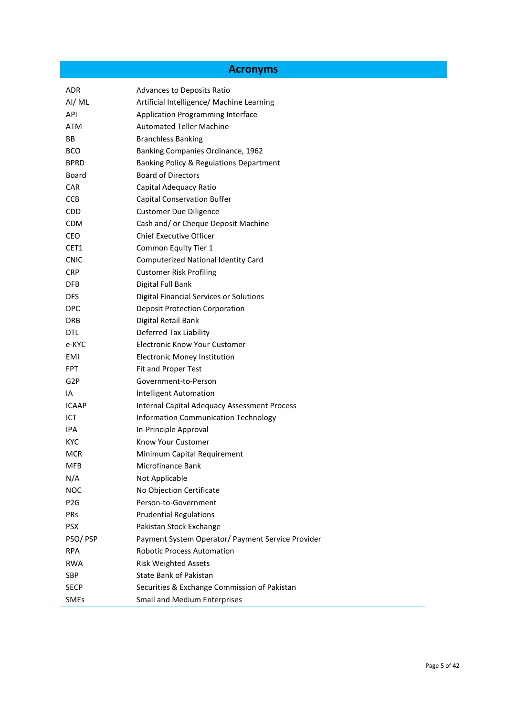# **Acronyms**

| AI/ML<br>Artificial Intelligence/ Machine Learning<br>API<br>Application Programming Interface<br><b>Automated Teller Machine</b><br><b>ATM</b><br>BB<br><b>Branchless Banking</b><br><b>BCO</b><br>Banking Companies Ordinance, 1962<br><b>BPRD</b><br>Banking Policy & Regulations Department<br><b>Board of Directors</b><br>Board<br><b>CAR</b><br>Capital Adequacy Ratio<br><b>Capital Conservation Buffer</b><br>CCB<br>CDD.<br><b>Customer Due Diligence</b><br>Cash and/ or Cheque Deposit Machine<br><b>CDM</b><br><b>Chief Executive Officer</b><br><b>CEO</b><br>CET1<br>Common Equity Tier 1<br><b>Computerized National Identity Card</b><br><b>CNIC</b><br><b>Customer Risk Profiling</b><br><b>CRP</b><br>DFB<br>Digital Full Bank<br><b>DFS</b><br>Digital Financial Services or Solutions<br><b>DPC</b><br><b>Deposit Protection Corporation</b><br>Digital Retail Bank<br><b>DRB</b><br>Deferred Tax Liability<br>DTL<br><b>Electronic Know Your Customer</b><br>e-KYC<br><b>Electronic Money Institution</b><br>EMI<br><b>FPT</b><br>Fit and Proper Test<br>G <sub>2</sub> P<br>Government-to-Person<br>IA<br><b>Intelligent Automation</b><br><b>ICAAP</b><br><b>Internal Capital Adequacy Assessment Process</b><br>ICT<br><b>Information Communication Technology</b><br>IPA.<br>In-Principle Approval<br>Know Your Customer<br><b>KYC</b><br>Minimum Capital Requirement<br><b>MCR</b><br>Microfinance Bank<br><b>MFB</b><br>N/A<br>Not Applicable<br><b>NOC</b><br>No Objection Certificate<br>Person-to-Government<br>P <sub>2</sub> G<br>PRs<br><b>Prudential Regulations</b><br><b>PSX</b><br>Pakistan Stock Exchange<br>Payment System Operator/ Payment Service Provider<br>PSO/PSP<br><b>Robotic Process Automation</b><br><b>RPA</b><br><b>RWA</b><br><b>Risk Weighted Assets</b><br><b>State Bank of Pakistan</b><br><b>SBP</b><br>Securities & Exchange Commission of Pakistan<br><b>SECP</b><br><b>Small and Medium Enterprises</b><br><b>SMEs</b> | ADR | Advances to Deposits Ratio |
|--------------------------------------------------------------------------------------------------------------------------------------------------------------------------------------------------------------------------------------------------------------------------------------------------------------------------------------------------------------------------------------------------------------------------------------------------------------------------------------------------------------------------------------------------------------------------------------------------------------------------------------------------------------------------------------------------------------------------------------------------------------------------------------------------------------------------------------------------------------------------------------------------------------------------------------------------------------------------------------------------------------------------------------------------------------------------------------------------------------------------------------------------------------------------------------------------------------------------------------------------------------------------------------------------------------------------------------------------------------------------------------------------------------------------------------------------------------------------------------------------------------------------------------------------------------------------------------------------------------------------------------------------------------------------------------------------------------------------------------------------------------------------------------------------------------------------------------------------------------------------------------------------------------------------------------------------------------------------------------|-----|----------------------------|
|                                                                                                                                                                                                                                                                                                                                                                                                                                                                                                                                                                                                                                                                                                                                                                                                                                                                                                                                                                                                                                                                                                                                                                                                                                                                                                                                                                                                                                                                                                                                                                                                                                                                                                                                                                                                                                                                                                                                                                                      |     |                            |
|                                                                                                                                                                                                                                                                                                                                                                                                                                                                                                                                                                                                                                                                                                                                                                                                                                                                                                                                                                                                                                                                                                                                                                                                                                                                                                                                                                                                                                                                                                                                                                                                                                                                                                                                                                                                                                                                                                                                                                                      |     |                            |
|                                                                                                                                                                                                                                                                                                                                                                                                                                                                                                                                                                                                                                                                                                                                                                                                                                                                                                                                                                                                                                                                                                                                                                                                                                                                                                                                                                                                                                                                                                                                                                                                                                                                                                                                                                                                                                                                                                                                                                                      |     |                            |
|                                                                                                                                                                                                                                                                                                                                                                                                                                                                                                                                                                                                                                                                                                                                                                                                                                                                                                                                                                                                                                                                                                                                                                                                                                                                                                                                                                                                                                                                                                                                                                                                                                                                                                                                                                                                                                                                                                                                                                                      |     |                            |
|                                                                                                                                                                                                                                                                                                                                                                                                                                                                                                                                                                                                                                                                                                                                                                                                                                                                                                                                                                                                                                                                                                                                                                                                                                                                                                                                                                                                                                                                                                                                                                                                                                                                                                                                                                                                                                                                                                                                                                                      |     |                            |
|                                                                                                                                                                                                                                                                                                                                                                                                                                                                                                                                                                                                                                                                                                                                                                                                                                                                                                                                                                                                                                                                                                                                                                                                                                                                                                                                                                                                                                                                                                                                                                                                                                                                                                                                                                                                                                                                                                                                                                                      |     |                            |
|                                                                                                                                                                                                                                                                                                                                                                                                                                                                                                                                                                                                                                                                                                                                                                                                                                                                                                                                                                                                                                                                                                                                                                                                                                                                                                                                                                                                                                                                                                                                                                                                                                                                                                                                                                                                                                                                                                                                                                                      |     |                            |
|                                                                                                                                                                                                                                                                                                                                                                                                                                                                                                                                                                                                                                                                                                                                                                                                                                                                                                                                                                                                                                                                                                                                                                                                                                                                                                                                                                                                                                                                                                                                                                                                                                                                                                                                                                                                                                                                                                                                                                                      |     |                            |
|                                                                                                                                                                                                                                                                                                                                                                                                                                                                                                                                                                                                                                                                                                                                                                                                                                                                                                                                                                                                                                                                                                                                                                                                                                                                                                                                                                                                                                                                                                                                                                                                                                                                                                                                                                                                                                                                                                                                                                                      |     |                            |
|                                                                                                                                                                                                                                                                                                                                                                                                                                                                                                                                                                                                                                                                                                                                                                                                                                                                                                                                                                                                                                                                                                                                                                                                                                                                                                                                                                                                                                                                                                                                                                                                                                                                                                                                                                                                                                                                                                                                                                                      |     |                            |
|                                                                                                                                                                                                                                                                                                                                                                                                                                                                                                                                                                                                                                                                                                                                                                                                                                                                                                                                                                                                                                                                                                                                                                                                                                                                                                                                                                                                                                                                                                                                                                                                                                                                                                                                                                                                                                                                                                                                                                                      |     |                            |
|                                                                                                                                                                                                                                                                                                                                                                                                                                                                                                                                                                                                                                                                                                                                                                                                                                                                                                                                                                                                                                                                                                                                                                                                                                                                                                                                                                                                                                                                                                                                                                                                                                                                                                                                                                                                                                                                                                                                                                                      |     |                            |
|                                                                                                                                                                                                                                                                                                                                                                                                                                                                                                                                                                                                                                                                                                                                                                                                                                                                                                                                                                                                                                                                                                                                                                                                                                                                                                                                                                                                                                                                                                                                                                                                                                                                                                                                                                                                                                                                                                                                                                                      |     |                            |
|                                                                                                                                                                                                                                                                                                                                                                                                                                                                                                                                                                                                                                                                                                                                                                                                                                                                                                                                                                                                                                                                                                                                                                                                                                                                                                                                                                                                                                                                                                                                                                                                                                                                                                                                                                                                                                                                                                                                                                                      |     |                            |
|                                                                                                                                                                                                                                                                                                                                                                                                                                                                                                                                                                                                                                                                                                                                                                                                                                                                                                                                                                                                                                                                                                                                                                                                                                                                                                                                                                                                                                                                                                                                                                                                                                                                                                                                                                                                                                                                                                                                                                                      |     |                            |
|                                                                                                                                                                                                                                                                                                                                                                                                                                                                                                                                                                                                                                                                                                                                                                                                                                                                                                                                                                                                                                                                                                                                                                                                                                                                                                                                                                                                                                                                                                                                                                                                                                                                                                                                                                                                                                                                                                                                                                                      |     |                            |
|                                                                                                                                                                                                                                                                                                                                                                                                                                                                                                                                                                                                                                                                                                                                                                                                                                                                                                                                                                                                                                                                                                                                                                                                                                                                                                                                                                                                                                                                                                                                                                                                                                                                                                                                                                                                                                                                                                                                                                                      |     |                            |
|                                                                                                                                                                                                                                                                                                                                                                                                                                                                                                                                                                                                                                                                                                                                                                                                                                                                                                                                                                                                                                                                                                                                                                                                                                                                                                                                                                                                                                                                                                                                                                                                                                                                                                                                                                                                                                                                                                                                                                                      |     |                            |
|                                                                                                                                                                                                                                                                                                                                                                                                                                                                                                                                                                                                                                                                                                                                                                                                                                                                                                                                                                                                                                                                                                                                                                                                                                                                                                                                                                                                                                                                                                                                                                                                                                                                                                                                                                                                                                                                                                                                                                                      |     |                            |
|                                                                                                                                                                                                                                                                                                                                                                                                                                                                                                                                                                                                                                                                                                                                                                                                                                                                                                                                                                                                                                                                                                                                                                                                                                                                                                                                                                                                                                                                                                                                                                                                                                                                                                                                                                                                                                                                                                                                                                                      |     |                            |
|                                                                                                                                                                                                                                                                                                                                                                                                                                                                                                                                                                                                                                                                                                                                                                                                                                                                                                                                                                                                                                                                                                                                                                                                                                                                                                                                                                                                                                                                                                                                                                                                                                                                                                                                                                                                                                                                                                                                                                                      |     |                            |
|                                                                                                                                                                                                                                                                                                                                                                                                                                                                                                                                                                                                                                                                                                                                                                                                                                                                                                                                                                                                                                                                                                                                                                                                                                                                                                                                                                                                                                                                                                                                                                                                                                                                                                                                                                                                                                                                                                                                                                                      |     |                            |
|                                                                                                                                                                                                                                                                                                                                                                                                                                                                                                                                                                                                                                                                                                                                                                                                                                                                                                                                                                                                                                                                                                                                                                                                                                                                                                                                                                                                                                                                                                                                                                                                                                                                                                                                                                                                                                                                                                                                                                                      |     |                            |
|                                                                                                                                                                                                                                                                                                                                                                                                                                                                                                                                                                                                                                                                                                                                                                                                                                                                                                                                                                                                                                                                                                                                                                                                                                                                                                                                                                                                                                                                                                                                                                                                                                                                                                                                                                                                                                                                                                                                                                                      |     |                            |
|                                                                                                                                                                                                                                                                                                                                                                                                                                                                                                                                                                                                                                                                                                                                                                                                                                                                                                                                                                                                                                                                                                                                                                                                                                                                                                                                                                                                                                                                                                                                                                                                                                                                                                                                                                                                                                                                                                                                                                                      |     |                            |
|                                                                                                                                                                                                                                                                                                                                                                                                                                                                                                                                                                                                                                                                                                                                                                                                                                                                                                                                                                                                                                                                                                                                                                                                                                                                                                                                                                                                                                                                                                                                                                                                                                                                                                                                                                                                                                                                                                                                                                                      |     |                            |
|                                                                                                                                                                                                                                                                                                                                                                                                                                                                                                                                                                                                                                                                                                                                                                                                                                                                                                                                                                                                                                                                                                                                                                                                                                                                                                                                                                                                                                                                                                                                                                                                                                                                                                                                                                                                                                                                                                                                                                                      |     |                            |
|                                                                                                                                                                                                                                                                                                                                                                                                                                                                                                                                                                                                                                                                                                                                                                                                                                                                                                                                                                                                                                                                                                                                                                                                                                                                                                                                                                                                                                                                                                                                                                                                                                                                                                                                                                                                                                                                                                                                                                                      |     |                            |
|                                                                                                                                                                                                                                                                                                                                                                                                                                                                                                                                                                                                                                                                                                                                                                                                                                                                                                                                                                                                                                                                                                                                                                                                                                                                                                                                                                                                                                                                                                                                                                                                                                                                                                                                                                                                                                                                                                                                                                                      |     |                            |
|                                                                                                                                                                                                                                                                                                                                                                                                                                                                                                                                                                                                                                                                                                                                                                                                                                                                                                                                                                                                                                                                                                                                                                                                                                                                                                                                                                                                                                                                                                                                                                                                                                                                                                                                                                                                                                                                                                                                                                                      |     |                            |
|                                                                                                                                                                                                                                                                                                                                                                                                                                                                                                                                                                                                                                                                                                                                                                                                                                                                                                                                                                                                                                                                                                                                                                                                                                                                                                                                                                                                                                                                                                                                                                                                                                                                                                                                                                                                                                                                                                                                                                                      |     |                            |
|                                                                                                                                                                                                                                                                                                                                                                                                                                                                                                                                                                                                                                                                                                                                                                                                                                                                                                                                                                                                                                                                                                                                                                                                                                                                                                                                                                                                                                                                                                                                                                                                                                                                                                                                                                                                                                                                                                                                                                                      |     |                            |
|                                                                                                                                                                                                                                                                                                                                                                                                                                                                                                                                                                                                                                                                                                                                                                                                                                                                                                                                                                                                                                                                                                                                                                                                                                                                                                                                                                                                                                                                                                                                                                                                                                                                                                                                                                                                                                                                                                                                                                                      |     |                            |
|                                                                                                                                                                                                                                                                                                                                                                                                                                                                                                                                                                                                                                                                                                                                                                                                                                                                                                                                                                                                                                                                                                                                                                                                                                                                                                                                                                                                                                                                                                                                                                                                                                                                                                                                                                                                                                                                                                                                                                                      |     |                            |
|                                                                                                                                                                                                                                                                                                                                                                                                                                                                                                                                                                                                                                                                                                                                                                                                                                                                                                                                                                                                                                                                                                                                                                                                                                                                                                                                                                                                                                                                                                                                                                                                                                                                                                                                                                                                                                                                                                                                                                                      |     |                            |
|                                                                                                                                                                                                                                                                                                                                                                                                                                                                                                                                                                                                                                                                                                                                                                                                                                                                                                                                                                                                                                                                                                                                                                                                                                                                                                                                                                                                                                                                                                                                                                                                                                                                                                                                                                                                                                                                                                                                                                                      |     |                            |
|                                                                                                                                                                                                                                                                                                                                                                                                                                                                                                                                                                                                                                                                                                                                                                                                                                                                                                                                                                                                                                                                                                                                                                                                                                                                                                                                                                                                                                                                                                                                                                                                                                                                                                                                                                                                                                                                                                                                                                                      |     |                            |
|                                                                                                                                                                                                                                                                                                                                                                                                                                                                                                                                                                                                                                                                                                                                                                                                                                                                                                                                                                                                                                                                                                                                                                                                                                                                                                                                                                                                                                                                                                                                                                                                                                                                                                                                                                                                                                                                                                                                                                                      |     |                            |
|                                                                                                                                                                                                                                                                                                                                                                                                                                                                                                                                                                                                                                                                                                                                                                                                                                                                                                                                                                                                                                                                                                                                                                                                                                                                                                                                                                                                                                                                                                                                                                                                                                                                                                                                                                                                                                                                                                                                                                                      |     |                            |
|                                                                                                                                                                                                                                                                                                                                                                                                                                                                                                                                                                                                                                                                                                                                                                                                                                                                                                                                                                                                                                                                                                                                                                                                                                                                                                                                                                                                                                                                                                                                                                                                                                                                                                                                                                                                                                                                                                                                                                                      |     |                            |
|                                                                                                                                                                                                                                                                                                                                                                                                                                                                                                                                                                                                                                                                                                                                                                                                                                                                                                                                                                                                                                                                                                                                                                                                                                                                                                                                                                                                                                                                                                                                                                                                                                                                                                                                                                                                                                                                                                                                                                                      |     |                            |
|                                                                                                                                                                                                                                                                                                                                                                                                                                                                                                                                                                                                                                                                                                                                                                                                                                                                                                                                                                                                                                                                                                                                                                                                                                                                                                                                                                                                                                                                                                                                                                                                                                                                                                                                                                                                                                                                                                                                                                                      |     |                            |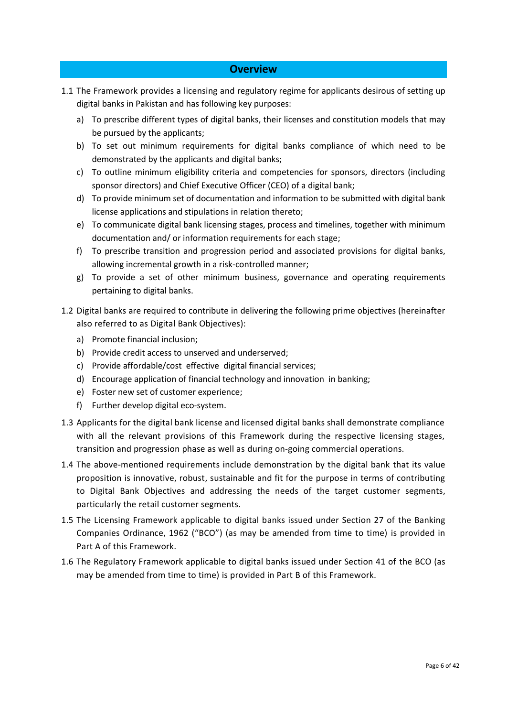## **Overview**

- 1.1 The Framework provides a licensing and regulatory regime for applicants desirous of setting up digital banks in Pakistan and has following key purposes:
	- a) To prescribe different types of digital banks, their licenses and constitution models that may be pursued by the applicants;
	- b) To set out minimum requirements for digital banks compliance of which need to be demonstrated by the applicants and digital banks;
	- c) To outline minimum eligibility criteria and competencies for sponsors, directors (including sponsor directors) and Chief Executive Officer (CEO) of a digital bank;
	- d) To provide minimum set of documentation and information to be submitted with digital bank license applications and stipulations in relation thereto;
	- e) To communicate digital bank licensing stages, process and timelines, together with minimum documentation and/ or information requirements for each stage;
	- f) To prescribe transition and progression period and associated provisions for digital banks, allowing incremental growth in a risk-controlled manner;
	- g) To provide a set of other minimum business, governance and operating requirements pertaining to digital banks.
- 1.2 Digital banks are required to contribute in delivering the following prime objectives (hereinafter also referred to as Digital Bank Objectives):
	- a) Promote financial inclusion;
	- b) Provide credit access to unserved and underserved;
	- c) Provide affordable/cost effective digital financial services;
	- d) Encourage application of financial technology and innovation in banking;
	- e) Foster new set of customer experience;
	- f) Further develop digital eco-system.
- 1.3 Applicants for the digital bank license and licensed digital banks shall demonstrate compliance with all the relevant provisions of this Framework during the respective licensing stages, transition and progression phase as well as during on-going commercial operations.
- 1.4 The above-mentioned requirements include demonstration by the digital bank that its value proposition is innovative, robust, sustainable and fit for the purpose in terms of contributing to Digital Bank Objectives and addressing the needs of the target customer segments, particularly the retail customer segments.
- 1.5 The Licensing Framework applicable to digital banks issued under Section 27 of the Banking Companies Ordinance, 1962 ("BCO") (as may be amended from time to time) is provided in Part A of this Framework.
- 1.6 The Regulatory Framework applicable to digital banks issued under Section 41 of the BCO (as may be amended from time to time) is provided in Part B of this Framework.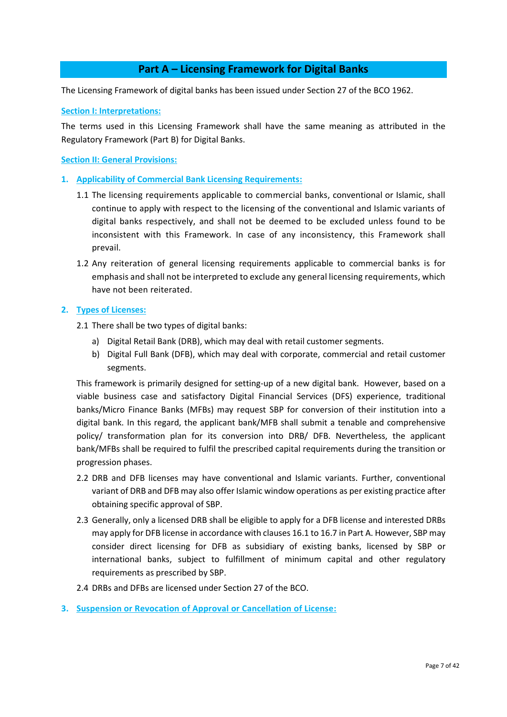## **Part A – Licensing Framework for Digital Banks**

The Licensing Framework of digital banks has been issued under Section 27 of the BCO 1962.

**Section I: Interpretations:**

The terms used in this Licensing Framework shall have the same meaning as attributed in the Regulatory Framework (Part B) for Digital Banks.

**Section II: General Provisions:**

- **1. Applicability of Commercial Bank Licensing Requirements:**
	- 1.1 The licensing requirements applicable to commercial banks, conventional or Islamic, shall continue to apply with respect to the licensing of the conventional and Islamic variants of digital banks respectively, and shall not be deemed to be excluded unless found to be inconsistent with this Framework. In case of any inconsistency, this Framework shall prevail.
	- 1.2 Any reiteration of general licensing requirements applicable to commercial banks is for emphasis and shall not be interpreted to exclude any general licensing requirements, which have not been reiterated.

## **2. Types of Licenses:**

- 2.1 There shall be two types of digital banks:
	- a) Digital Retail Bank (DRB), which may deal with retail customer segments.
	- b) Digital Full Bank (DFB), which may deal with corporate, commercial and retail customer segments.

This framework is primarily designed for setting-up of a new digital bank. However, based on a viable business case and satisfactory Digital Financial Services (DFS) experience, traditional banks/Micro Finance Banks (MFBs) may request SBP for conversion of their institution into a digital bank. In this regard, the applicant bank/MFB shall submit a tenable and comprehensive policy/ transformation plan for its conversion into DRB/ DFB. Nevertheless, the applicant bank/MFBs shall be required to fulfil the prescribed capital requirements during the transition or progression phases.

- 2.2 DRB and DFB licenses may have conventional and Islamic variants. Further, conventional variant of DRB and DFB may also offer Islamic window operations as per existing practice after obtaining specific approval of SBP.
- 2.3 Generally, only a licensed DRB shall be eligible to apply for a DFB license and interested DRBs may apply for DFB license in accordance with clauses 16.1 to 16.7 in Part A. However, SBP may consider direct licensing for DFB as subsidiary of existing banks, licensed by SBP or international banks, subject to fulfillment of minimum capital and other regulatory requirements as prescribed by SBP.
- 2.4 DRBs and DFBs are licensed under Section 27 of the BCO.
- **3. Suspension or Revocation of Approval or Cancellation of License:**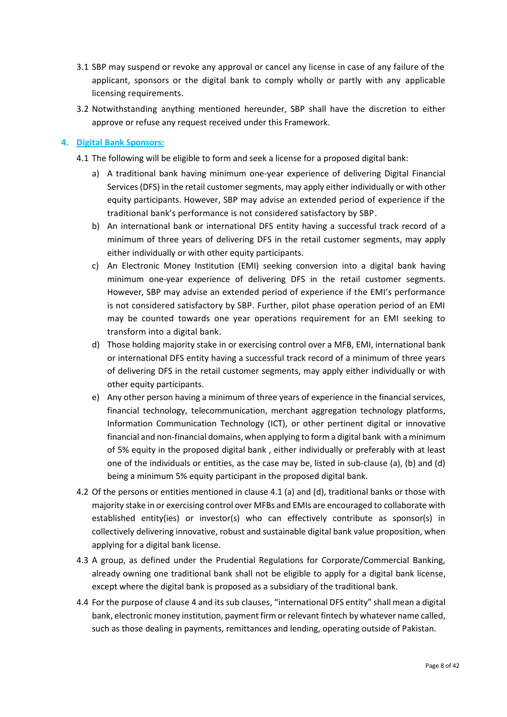- 3.1 SBP may suspend or revoke any approval or cancel any license in case of any failure of the applicant, sponsors or the digital bank to comply wholly or partly with any applicable licensing requirements.
- 3.2 Notwithstanding anything mentioned hereunder, SBP shall have the discretion to either approve or refuse any request received under this Framework.

## **4. Digital Bank Sponsors:**

- 4.1 The following will be eligible to form and seek a license for a proposed digital bank:
	- a) A traditional bank having minimum one-year experience of delivering Digital Financial Services (DFS) in the retail customer segments, may apply either individually or with other equity participants. However, SBP may advise an extended period of experience if the traditional bank's performance is not considered satisfactory by SBP.
	- b) An international bank or international DFS entity having a successful track record of a minimum of three years of delivering DFS in the retail customer segments, may apply either individually or with other equity participants.
	- c) An Electronic Money Institution (EMI) seeking conversion into a digital bank having minimum one-year experience of delivering DFS in the retail customer segments. However, SBP may advise an extended period of experience if the EMI's performance is not considered satisfactory by SBP. Further, pilot phase operation period of an EMI may be counted towards one year operations requirement for an EMI seeking to transform into a digital bank.
	- d) Those holding majority stake in or exercising control over a MFB, EMI, international bank or international DFS entity having a successful track record of a minimum of three years of delivering DFS in the retail customer segments, may apply either individually or with other equity participants.
	- e) Any other person having a minimum of three years of experience in the financial services, financial technology, telecommunication, merchant aggregation technology platforms, Information Communication Technology (ICT), or other pertinent digital or innovative financial and non-financial domains, when applying to form a digital bank with a minimum of 5% equity in the proposed digital bank , either individually or preferably with at least one of the individuals or entities, as the case may be, listed in sub-clause (a), (b) and (d) being a minimum 5% equity participant in the proposed digital bank.
- 4.2 Of the persons or entities mentioned in clause 4.1 (a) and (d), traditional banks or those with majority stake in or exercising control over MFBs and EMIs are encouraged to collaborate with established entity(ies) or investor(s) who can effectively contribute as sponsor(s) in collectively delivering innovative, robust and sustainable digital bank value proposition, when applying for a digital bank license.
- 4.3 A group, as defined under the Prudential Regulations for Corporate/Commercial Banking, already owning one traditional bank shall not be eligible to apply for a digital bank license, except where the digital bank is proposed as a subsidiary of the traditional bank.
- 4.4 For the purpose of clause 4 and its sub clauses, "international DFS entity" shall mean a digital bank, electronic money institution, payment firm or relevant fintech by whatever name called, such as those dealing in payments, remittances and lending, operating outside of Pakistan.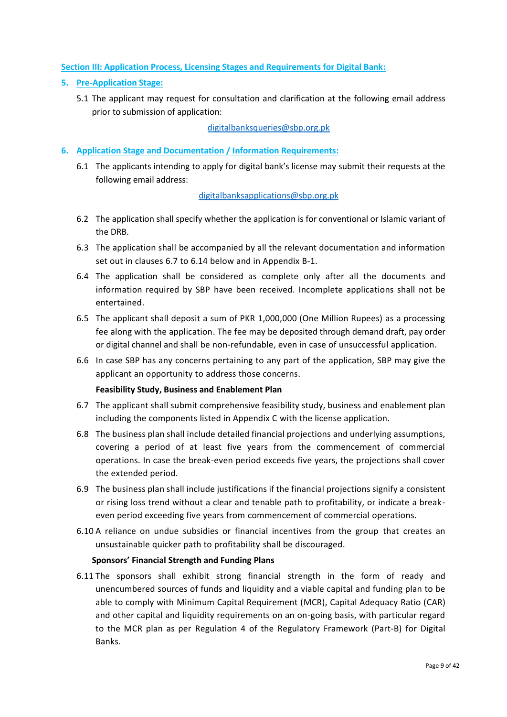## **Section III: Application Process, Licensing Stages and Requirements for Digital Bank:**

## **5. Pre-Application Stage:**

5.1 The applicant may request for consultation and clarification at the following email address prior to submission of application:

## [digitalbanksqueries@sbp.org.pk](mailto:digitalbanksqueries@sbp.org.pk)

- **6. Application Stage and Documentation / Information Requirements:**
	- 6.1 The applicants intending to apply for digital bank's license may submit their requests at the following email address:

## [digitalbanksapplications@sbp.org.pk](mailto:digitalbanksapplications@sbp.org.pk)

- 6.2 The application shall specify whether the application is for conventional or Islamic variant of the DRB.
- 6.3 The application shall be accompanied by all the relevant documentation and information set out in clauses 6.7 to 6.14 below and in Appendix B-1.
- 6.4 The application shall be considered as complete only after all the documents and information required by SBP have been received. Incomplete applications shall not be entertained.
- 6.5 The applicant shall deposit a sum of PKR 1,000,000 (One Million Rupees) as a processing fee along with the application. The fee may be deposited through demand draft, pay order or digital channel and shall be non-refundable, even in case of unsuccessful application.
- 6.6 In case SBP has any concerns pertaining to any part of the application, SBP may give the applicant an opportunity to address those concerns.

## **Feasibility Study, Business and Enablement Plan**

- 6.7 The applicant shall submit comprehensive feasibility study, business and enablement plan including the components listed in Appendix C with the license application.
- 6.8 The business plan shall include detailed financial projections and underlying assumptions, covering a period of at least five years from the commencement of commercial operations. In case the break-even period exceeds five years, the projections shall cover the extended period.
- 6.9 The business plan shall include justifications if the financial projections signify a consistent or rising loss trend without a clear and tenable path to profitability, or indicate a breakeven period exceeding five years from commencement of commercial operations.
- 6.10 A reliance on undue subsidies or financial incentives from the group that creates an unsustainable quicker path to profitability shall be discouraged.

## **Sponsors' Financial Strength and Funding Plans**

6.11 The sponsors shall exhibit strong financial strength in the form of ready and unencumbered sources of funds and liquidity and a viable capital and funding plan to be able to comply with Minimum Capital Requirement (MCR), Capital Adequacy Ratio (CAR) and other capital and liquidity requirements on an on-going basis, with particular regard to the MCR plan as per Regulation 4 of the Regulatory Framework (Part-B) for Digital Banks.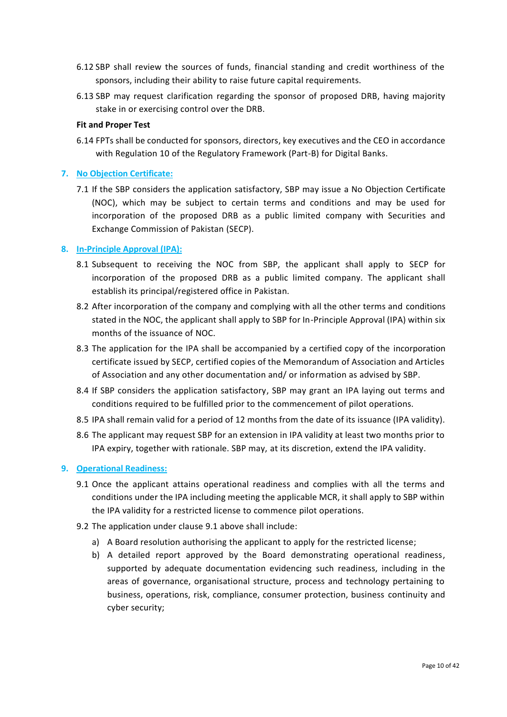- 6.12 SBP shall review the sources of funds, financial standing and credit worthiness of the sponsors, including their ability to raise future capital requirements.
- 6.13 SBP may request clarification regarding the sponsor of proposed DRB, having majority stake in or exercising control over the DRB.

## **Fit and Proper Test**

6.14 FPTs shall be conducted for sponsors, directors, key executives and the CEO in accordance with Regulation 10 of the Regulatory Framework (Part-B) for Digital Banks.

## **7. No Objection Certificate:**

7.1 If the SBP considers the application satisfactory, SBP may issue a No Objection Certificate (NOC), which may be subject to certain terms and conditions and may be used for incorporation of the proposed DRB as a public limited company with Securities and Exchange Commission of Pakistan (SECP).

#### **8. In-Principle Approval (IPA):**

- 8.1 Subsequent to receiving the NOC from SBP, the applicant shall apply to SECP for incorporation of the proposed DRB as a public limited company. The applicant shall establish its principal/registered office in Pakistan.
- 8.2 After incorporation of the company and complying with all the other terms and conditions stated in the NOC, the applicant shall apply to SBP for In-Principle Approval (IPA) within six months of the issuance of NOC.
- 8.3 The application for the IPA shall be accompanied by a certified copy of the incorporation certificate issued by SECP, certified copies of the Memorandum of Association and Articles of Association and any other documentation and/ or information as advised by SBP.
- 8.4 If SBP considers the application satisfactory, SBP may grant an IPA laying out terms and conditions required to be fulfilled prior to the commencement of pilot operations.
- 8.5 IPA shall remain valid for a period of 12 months from the date of its issuance (IPA validity).
- 8.6 The applicant may request SBP for an extension in IPA validity at least two months prior to IPA expiry, together with rationale. SBP may, at its discretion, extend the IPA validity.

#### **9. Operational Readiness:**

- 9.1 Once the applicant attains operational readiness and complies with all the terms and conditions under the IPA including meeting the applicable MCR, it shall apply to SBP within the IPA validity for a restricted license to commence pilot operations.
- 9.2 The application under clause 9.1 above shall include:
	- a) A Board resolution authorising the applicant to apply for the restricted license;
	- b) A detailed report approved by the Board demonstrating operational readiness, supported by adequate documentation evidencing such readiness, including in the areas of governance, organisational structure, process and technology pertaining to business, operations, risk, compliance, consumer protection, business continuity and cyber security;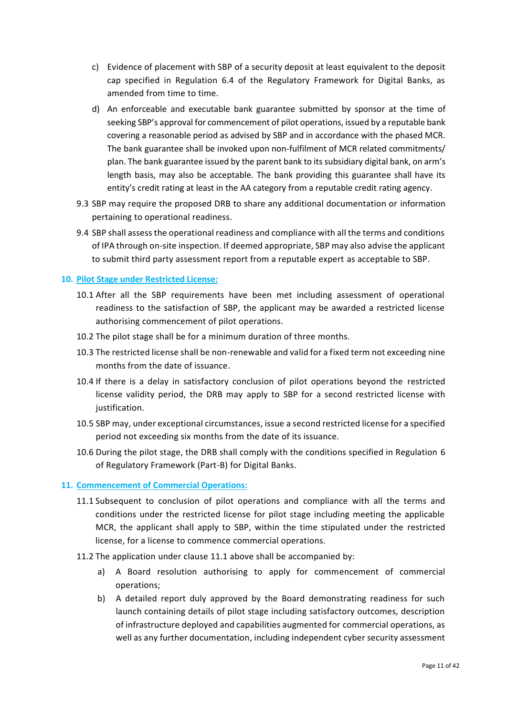- c) Evidence of placement with SBP of a security deposit at least equivalent to the deposit cap specified in Regulation 6.4 of the Regulatory Framework for Digital Banks, as amended from time to time.
- d) An enforceable and executable bank guarantee submitted by sponsor at the time of seeking SBP's approval for commencement of pilot operations, issued by a reputable bank covering a reasonable period as advised by SBP and in accordance with the phased MCR. The bank guarantee shall be invoked upon non-fulfilment of MCR related commitments/ plan. The bank guarantee issued by the parent bank to its subsidiary digital bank, on arm's length basis, may also be acceptable. The bank providing this guarantee shall have its entity's credit rating at least in the AA category from a reputable credit rating agency.
- 9.3 SBP may require the proposed DRB to share any additional documentation or information pertaining to operational readiness.
- 9.4 SBP shall assess the operational readiness and compliance with all the terms and conditions of IPA through on-site inspection. If deemed appropriate, SBP may also advise the applicant to submit third party assessment report from a reputable expert as acceptable to SBP.

## **10. Pilot Stage under Restricted License:**

- 10.1 After all the SBP requirements have been met including assessment of operational readiness to the satisfaction of SBP, the applicant may be awarded a restricted license authorising commencement of pilot operations.
- 10.2 The pilot stage shall be for a minimum duration of three months.
- 10.3 The restricted license shall be non-renewable and valid for a fixed term not exceeding nine months from the date of issuance.
- 10.4 If there is a delay in satisfactory conclusion of pilot operations beyond the restricted license validity period, the DRB may apply to SBP for a second restricted license with justification.
- 10.5 SBP may, under exceptional circumstances, issue a second restricted license for a specified period not exceeding six months from the date of its issuance.
- 10.6 During the pilot stage, the DRB shall comply with the conditions specified in Regulation 6 of Regulatory Framework (Part-B) for Digital Banks.

## **11. Commencement of Commercial Operations:**

- 11.1 Subsequent to conclusion of pilot operations and compliance with all the terms and conditions under the restricted license for pilot stage including meeting the applicable MCR, the applicant shall apply to SBP, within the time stipulated under the restricted license, for a license to commence commercial operations.
- 11.2 The application under clause 11.1 above shall be accompanied by:
	- a) A Board resolution authorising to apply for commencement of commercial operations;
	- b) A detailed report duly approved by the Board demonstrating readiness for such launch containing details of pilot stage including satisfactory outcomes, description of infrastructure deployed and capabilities augmented for commercial operations, as well as any further documentation, including independent cyber security assessment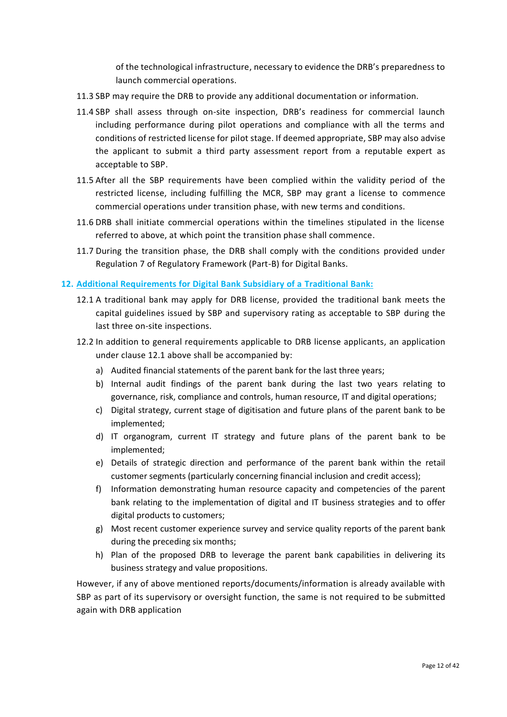of the technological infrastructure, necessary to evidence the DRB's preparedness to launch commercial operations.

- 11.3 SBP may require the DRB to provide any additional documentation or information.
- 11.4 SBP shall assess through on-site inspection, DRB's readiness for commercial launch including performance during pilot operations and compliance with all the terms and conditions of restricted license for pilot stage. If deemed appropriate, SBP may also advise the applicant to submit a third party assessment report from a reputable expert as acceptable to SBP.
- 11.5 After all the SBP requirements have been complied within the validity period of the restricted license, including fulfilling the MCR, SBP may grant a license to commence commercial operations under transition phase, with new terms and conditions.
- 11.6 DRB shall initiate commercial operations within the timelines stipulated in the license referred to above, at which point the transition phase shall commence.
- 11.7 During the transition phase, the DRB shall comply with the conditions provided under Regulation 7 of Regulatory Framework (Part-B) for Digital Banks.

#### **12. Additional Requirements for Digital Bank Subsidiary of a Traditional Bank:**

- 12.1 A traditional bank may apply for DRB license, provided the traditional bank meets the capital guidelines issued by SBP and supervisory rating as acceptable to SBP during the last three on-site inspections.
- 12.2 In addition to general requirements applicable to DRB license applicants, an application under clause 12.1 above shall be accompanied by:
	- a) Audited financial statements of the parent bank for the last three years;
	- b) Internal audit findings of the parent bank during the last two years relating to governance, risk, compliance and controls, human resource, IT and digital operations;
	- c) Digital strategy, current stage of digitisation and future plans of the parent bank to be implemented;
	- d) IT organogram, current IT strategy and future plans of the parent bank to be implemented;
	- e) Details of strategic direction and performance of the parent bank within the retail customer segments (particularly concerning financial inclusion and credit access);
	- f) Information demonstrating human resource capacity and competencies of the parent bank relating to the implementation of digital and IT business strategies and to offer digital products to customers;
	- g) Most recent customer experience survey and service quality reports of the parent bank during the preceding six months;
	- h) Plan of the proposed DRB to leverage the parent bank capabilities in delivering its business strategy and value propositions.

However, if any of above mentioned reports/documents/information is already available with SBP as part of its supervisory or oversight function, the same is not required to be submitted again with DRB application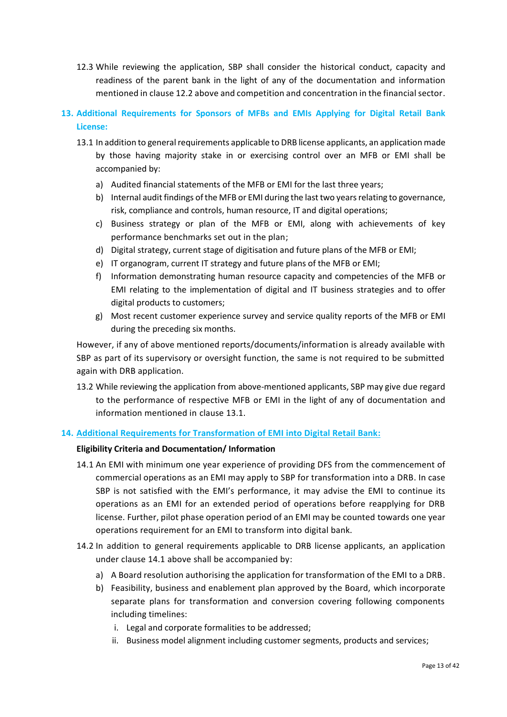- 12.3 While reviewing the application, SBP shall consider the historical conduct, capacity and readiness of the parent bank in the light of any of the documentation and information mentioned in clause 12.2 above and competition and concentration in the financial sector.
- **13. Additional Requirements for Sponsors of MFBs and EMIs Applying for Digital Retail Bank License:**
	- 13.1 In addition to general requirements applicable to DRB license applicants, an application made by those having majority stake in or exercising control over an MFB or EMI shall be accompanied by:
		- a) Audited financial statements of the MFB or EMI for the last three years;
		- b) Internal audit findings of the MFB or EMI during the last two years relating to governance, risk, compliance and controls, human resource, IT and digital operations;
		- c) Business strategy or plan of the MFB or EMI, along with achievements of key performance benchmarks set out in the plan;
		- d) Digital strategy, current stage of digitisation and future plans of the MFB or EMI;
		- e) IT organogram, current IT strategy and future plans of the MFB or EMI;
		- f) Information demonstrating human resource capacity and competencies of the MFB or EMI relating to the implementation of digital and IT business strategies and to offer digital products to customers;
		- g) Most recent customer experience survey and service quality reports of the MFB or EMI during the preceding six months.

However, if any of above mentioned reports/documents/information is already available with SBP as part of its supervisory or oversight function, the same is not required to be submitted again with DRB application.

13.2 While reviewing the application from above-mentioned applicants, SBP may give due regard to the performance of respective MFB or EMI in the light of any of documentation and information mentioned in clause 13.1.

## **14. Additional Requirements for Transformation of EMI into Digital Retail Bank:**

## **Eligibility Criteria and Documentation/ Information**

- 14.1 An EMI with minimum one year experience of providing DFS from the commencement of commercial operations as an EMI may apply to SBP for transformation into a DRB. In case SBP is not satisfied with the EMI's performance, it may advise the EMI to continue its operations as an EMI for an extended period of operations before reapplying for DRB license. Further, pilot phase operation period of an EMI may be counted towards one year operations requirement for an EMI to transform into digital bank.
- 14.2 In addition to general requirements applicable to DRB license applicants, an application under clause 14.1 above shall be accompanied by:
	- a) A Board resolution authorising the application for transformation of the EMI to a DRB.
	- b) Feasibility, business and enablement plan approved by the Board, which incorporate separate plans for transformation and conversion covering following components including timelines:
		- i. Legal and corporate formalities to be addressed;
		- ii. Business model alignment including customer segments, products and services;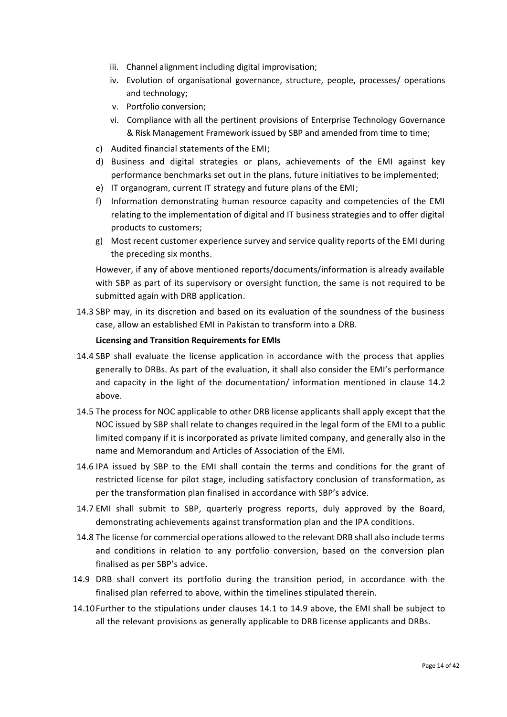- iii. Channel alignment including digital improvisation;
- iv. Evolution of organisational governance, structure, people, processes/ operations and technology;
- v. Portfolio conversion;
- vi. Compliance with all the pertinent provisions of Enterprise Technology Governance & Risk Management Framework issued by SBP and amended from time to time;
- c) Audited financial statements of the EMI;
- d) Business and digital strategies or plans, achievements of the EMI against key performance benchmarks set out in the plans, future initiatives to be implemented;
- e) IT organogram, current IT strategy and future plans of the EMI;
- f) Information demonstrating human resource capacity and competencies of the EMI relating to the implementation of digital and IT business strategies and to offer digital products to customers;
- g) Most recent customer experience survey and service quality reports of the EMI during the preceding six months.

However, if any of above mentioned reports/documents/information is already available with SBP as part of its supervisory or oversight function, the same is not required to be submitted again with DRB application.

14.3 SBP may, in its discretion and based on its evaluation of the soundness of the business case, allow an established EMI in Pakistan to transform into a DRB.

## **Licensing and Transition Requirements for EMIs**

- 14.4 SBP shall evaluate the license application in accordance with the process that applies generally to DRBs. As part of the evaluation, it shall also consider the EMI's performance and capacity in the light of the documentation/ information mentioned in clause 14.2 above.
- 14.5 The process for NOC applicable to other DRB license applicants shall apply except that the NOC issued by SBP shall relate to changes required in the legal form of the EMI to a public limited company if it is incorporated as private limited company, and generally also in the name and Memorandum and Articles of Association of the EMI.
- 14.6 IPA issued by SBP to the EMI shall contain the terms and conditions for the grant of restricted license for pilot stage, including satisfactory conclusion of transformation, as per the transformation plan finalised in accordance with SBP's advice.
- 14.7 EMI shall submit to SBP, quarterly progress reports, duly approved by the Board, demonstrating achievements against transformation plan and the IPA conditions.
- 14.8 The license for commercial operations allowed to the relevant DRB shall also include terms and conditions in relation to any portfolio conversion, based on the conversion plan finalised as per SBP's advice.
- 14.9 DRB shall convert its portfolio during the transition period, in accordance with the finalised plan referred to above, within the timelines stipulated therein.
- 14.10Further to the stipulations under clauses 14.1 to 14.9 above, the EMI shall be subject to all the relevant provisions as generally applicable to DRB license applicants and DRBs.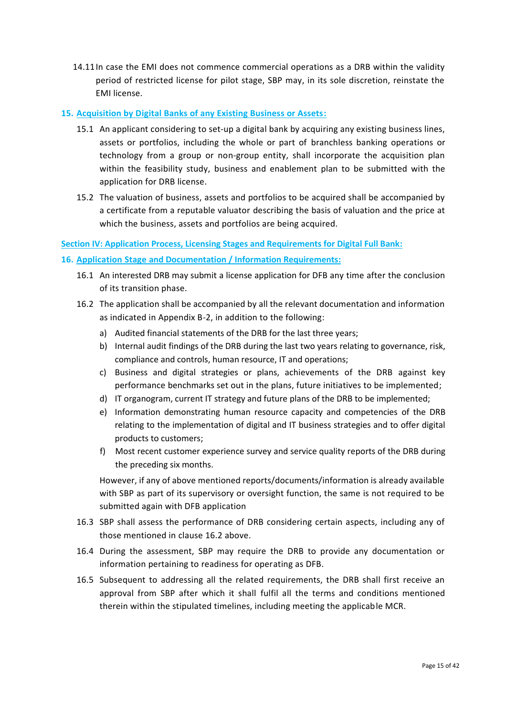14.11In case the EMI does not commence commercial operations as a DRB within the validity period of restricted license for pilot stage, SBP may, in its sole discretion, reinstate the EMI license.

## **15. Acquisition by Digital Banks of any Existing Business or Assets:**

- 15.1 An applicant considering to set-up a digital bank by acquiring any existing business lines, assets or portfolios, including the whole or part of branchless banking operations or technology from a group or non-group entity, shall incorporate the acquisition plan within the feasibility study, business and enablement plan to be submitted with the application for DRB license.
- 15.2 The valuation of business, assets and portfolios to be acquired shall be accompanied by a certificate from a reputable valuator describing the basis of valuation and the price at which the business, assets and portfolios are being acquired.

## **Section IV: Application Process, Licensing Stages and Requirements for Digital Full Bank:**

## **16. Application Stage and Documentation / Information Requirements:**

- 16.1 An interested DRB may submit a license application for DFB any time after the conclusion of its transition phase.
- 16.2 The application shall be accompanied by all the relevant documentation and information as indicated in Appendix B-2, in addition to the following:
	- a) Audited financial statements of the DRB for the last three years;
	- b) Internal audit findings of the DRB during the last two years relating to governance, risk, compliance and controls, human resource, IT and operations;
	- c) Business and digital strategies or plans, achievements of the DRB against key performance benchmarks set out in the plans, future initiatives to be implemented;
	- d) IT organogram, current IT strategy and future plans of the DRB to be implemented;
	- e) Information demonstrating human resource capacity and competencies of the DRB relating to the implementation of digital and IT business strategies and to offer digital products to customers;
	- f) Most recent customer experience survey and service quality reports of the DRB during the preceding six months.

However, if any of above mentioned reports/documents/information is already available with SBP as part of its supervisory or oversight function, the same is not required to be submitted again with DFB application

- 16.3 SBP shall assess the performance of DRB considering certain aspects, including any of those mentioned in clause 16.2 above.
- 16.4 During the assessment, SBP may require the DRB to provide any documentation or information pertaining to readiness for operating as DFB.
- 16.5 Subsequent to addressing all the related requirements, the DRB shall first receive an approval from SBP after which it shall fulfil all the terms and conditions mentioned therein within the stipulated timelines, including meeting the applicable MCR.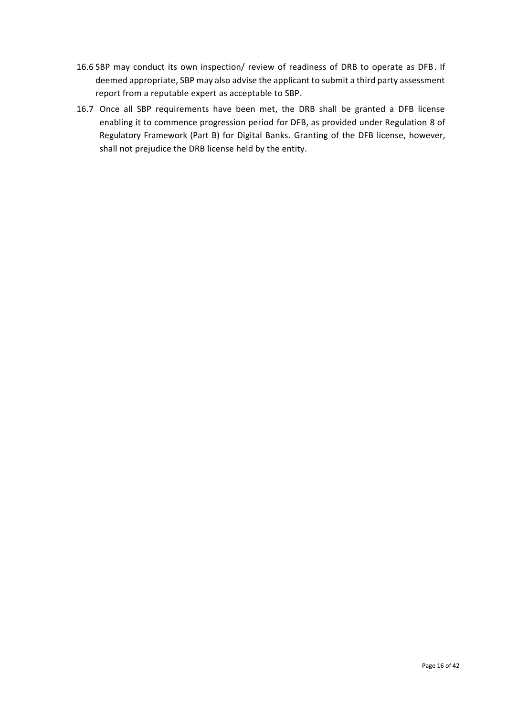- 16.6 SBP may conduct its own inspection/ review of readiness of DRB to operate as DFB. If deemed appropriate, SBP may also advise the applicant to submit a third party assessment report from a reputable expert as acceptable to SBP.
- 16.7 Once all SBP requirements have been met, the DRB shall be granted a DFB license enabling it to commence progression period for DFB, as provided under Regulation 8 of Regulatory Framework (Part B) for Digital Banks. Granting of the DFB license, however, shall not prejudice the DRB license held by the entity.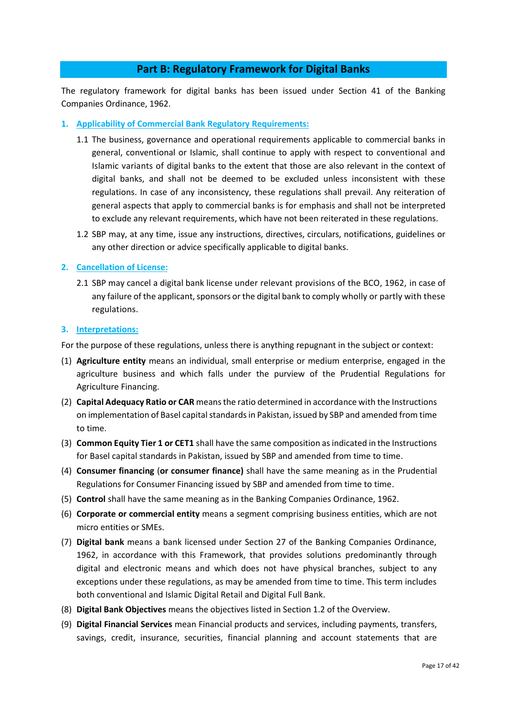## **Part B: Regulatory Framework for Digital Banks**

The regulatory framework for digital banks has been issued under Section 41 of the Banking Companies Ordinance, 1962.

## **1. Applicability of Commercial Bank Regulatory Requirements:**

- 1.1 The business, governance and operational requirements applicable to commercial banks in general, conventional or Islamic, shall continue to apply with respect to conventional and Islamic variants of digital banks to the extent that those are also relevant in the context of digital banks, and shall not be deemed to be excluded unless inconsistent with these regulations. In case of any inconsistency, these regulations shall prevail. Any reiteration of general aspects that apply to commercial banks is for emphasis and shall not be interpreted to exclude any relevant requirements, which have not been reiterated in these regulations.
- 1.2 SBP may, at any time, issue any instructions, directives, circulars, notifications, guidelines or any other direction or advice specifically applicable to digital banks.

## **2. Cancellation of License:**

2.1 SBP may cancel a digital bank license under relevant provisions of the BCO, 1962, in case of any failure of the applicant, sponsors or the digital bank to comply wholly or partly with these regulations.

#### **3. Interpretations:**

For the purpose of these regulations, unless there is anything repugnant in the subject or context:

- (1) **Agriculture entity** means an individual, small enterprise or medium enterprise, engaged in the agriculture business and which falls under the purview of the Prudential Regulations for Agriculture Financing.
- (2) **Capital Adequacy Ratio or CAR** means the ratio determined in accordance with the Instructions on implementation of Basel capital standards in Pakistan, issued by SBP and amended from time to time.
- (3) **Common Equity Tier 1 or CET1** shall have the same composition as indicated in the Instructions for Basel capital standards in Pakistan, issued by SBP and amended from time to time.
- (4) **Consumer financing** (**or consumer finance)** shall have the same meaning as in the Prudential Regulations for Consumer Financing issued by SBP and amended from time to time.
- (5) **Control** shall have the same meaning as in the Banking Companies Ordinance, 1962.
- (6) **Corporate or commercial entity** means a segment comprising business entities, which are not micro entities or SMEs.
- (7) **Digital bank** means a bank licensed under Section 27 of the Banking Companies Ordinance, 1962, in accordance with this Framework, that provides solutions predominantly through digital and electronic means and which does not have physical branches, subject to any exceptions under these regulations, as may be amended from time to time. This term includes both conventional and Islamic Digital Retail and Digital Full Bank.
- (8) **Digital Bank Objectives** means the objectives listed in Section 1.2 of the Overview.
- (9) **Digital Financial Services** mean Financial products and services, including payments, transfers, savings, credit, insurance, securities, financial planning and account statements that are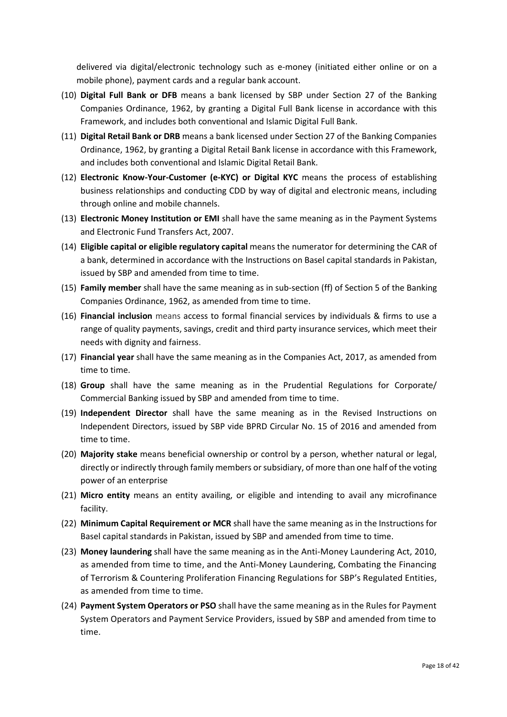delivered via digital/electronic technology such as e-money (initiated either online or on a mobile phone), payment cards and a regular bank account.

- (10) **Digital Full Bank or DFB** means a bank licensed by SBP under Section 27 of the Banking Companies Ordinance, 1962, by granting a Digital Full Bank license in accordance with this Framework, and includes both conventional and Islamic Digital Full Bank.
- (11) **Digital Retail Bank or DRB** means a bank licensed under Section 27 of the Banking Companies Ordinance, 1962, by granting a Digital Retail Bank license in accordance with this Framework, and includes both conventional and Islamic Digital Retail Bank.
- (12) **Electronic Know-Your-Customer (e-KYC) or Digital KYC** means the process of establishing business relationships and conducting CDD by way of digital and electronic means, including through online and mobile channels.
- (13) **Electronic Money Institution or EMI** shall have the same meaning as in the Payment Systems and Electronic Fund Transfers Act, 2007.
- (14) **Eligible capital or eligible regulatory capital** means the numerator for determining the CAR of a bank, determined in accordance with the Instructions on Basel capital standards in Pakistan, issued by SBP and amended from time to time.
- (15) **Family member** shall have the same meaning as in sub-section (ff) of Section 5 of the Banking Companies Ordinance, 1962, as amended from time to time.
- (16) **Financial inclusion** means access to formal financial services by individuals & firms to use a range of quality payments, savings, credit and third party insurance services, which meet their needs with dignity and fairness.
- (17) **Financial year** shall have the same meaning as in the Companies Act, 2017, as amended from time to time.
- (18) **Group** shall have the same meaning as in the Prudential Regulations for Corporate/ Commercial Banking issued by SBP and amended from time to time.
- (19) **Independent Director** shall have the same meaning as in the Revised Instructions on Independent Directors, issued by SBP vide BPRD Circular No. 15 of 2016 and amended from time to time.
- (20) **Majority stake** means beneficial ownership or control by a person, whether natural or legal, directly or indirectly through family members or subsidiary, of more than one half of the voting power of an enterprise
- (21) **Micro entity** means an entity availing, or eligible and intending to avail any microfinance facility.
- (22) **Minimum Capital Requirement or MCR** shall have the same meaning as in the Instructions for Basel capital standards in Pakistan, issued by SBP and amended from time to time.
- (23) **Money laundering** shall have the same meaning as in the Anti-Money Laundering Act, 2010, as amended from time to time, and the Anti-Money Laundering, Combating the Financing of Terrorism & Countering Proliferation Financing Regulations for SBP's Regulated Entities, as amended from time to time.
- (24) **Payment System Operators or PSO** shall have the same meaning as in the Rules for Payment System Operators and Payment Service Providers, issued by SBP and amended from time to time.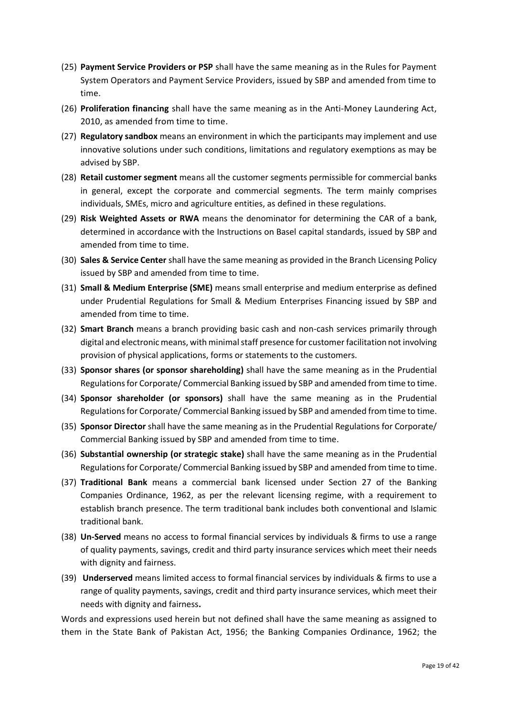- (25) **Payment Service Providers or PSP** shall have the same meaning as in the Rules for Payment System Operators and Payment Service Providers, issued by SBP and amended from time to time.
- (26) **Proliferation financing** shall have the same meaning as in the Anti-Money Laundering Act, 2010, as amended from time to time.
- (27) **Regulatory sandbox** means an environment in which the participants may implement and use innovative solutions under such conditions, limitations and regulatory exemptions as may be advised by SBP.
- (28) **Retail customer segment** means all the customer segments permissible for commercial banks in general, except the corporate and commercial segments. The term mainly comprises individuals, SMEs, micro and agriculture entities, as defined in these regulations.
- (29) **Risk Weighted Assets or RWA** means the denominator for determining the CAR of a bank, determined in accordance with the Instructions on Basel capital standards, issued by SBP and amended from time to time.
- (30) **Sales & Service Center** shall have the same meaning as provided in the Branch Licensing Policy issued by SBP and amended from time to time.
- (31) **Small & Medium Enterprise (SME)** means small enterprise and medium enterprise as defined under Prudential Regulations for Small & Medium Enterprises Financing issued by SBP and amended from time to time.
- (32) **Smart Branch** means a branch providing basic cash and non-cash services primarily through digital and electronic means, with minimal staff presence for customer facilitation not involving provision of physical applications, forms or statements to the customers.
- (33) **Sponsor shares (or sponsor shareholding)** shall have the same meaning as in the Prudential Regulations for Corporate/ Commercial Banking issued by SBP and amended from time to time.
- (34) **Sponsor shareholder (or sponsors)** shall have the same meaning as in the Prudential Regulations for Corporate/ Commercial Banking issued by SBP and amended from time to time.
- (35) **Sponsor Director** shall have the same meaning as in the Prudential Regulations for Corporate/ Commercial Banking issued by SBP and amended from time to time.
- (36) **Substantial ownership (or strategic stake)** shall have the same meaning as in the Prudential Regulations for Corporate/ Commercial Banking issued by SBP and amended from time to time.
- (37) **Traditional Bank** means a commercial bank licensed under Section 27 of the Banking Companies Ordinance, 1962, as per the relevant licensing regime, with a requirement to establish branch presence. The term traditional bank includes both conventional and Islamic traditional bank.
- (38) **Un-Served** means no access to formal financial services by individuals & firms to use a range of quality payments, savings, credit and third party insurance services which meet their needs with dignity and fairness.
- (39) **Underserved** means limited access to formal financial services by individuals & firms to use a range of quality payments, savings, credit and third party insurance services, which meet their needs with dignity and fairness**.**

Words and expressions used herein but not defined shall have the same meaning as assigned to them in the State Bank of Pakistan Act, 1956; the Banking Companies Ordinance, 1962; the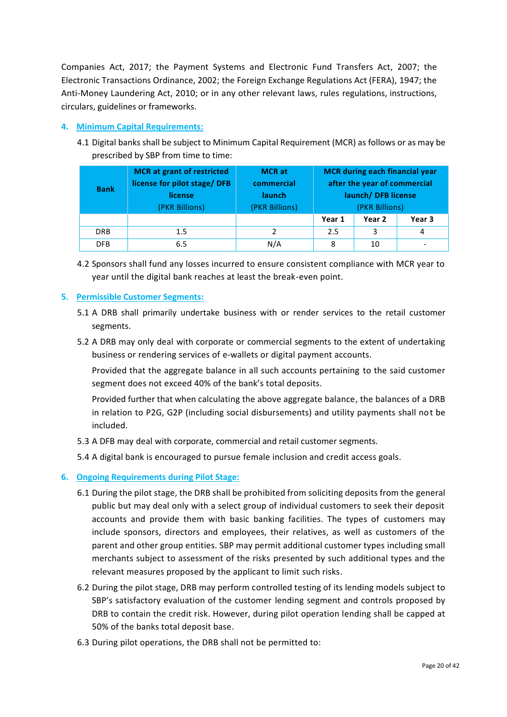Companies Act, 2017; the Payment Systems and Electronic Fund Transfers Act, 2007; the Electronic Transactions Ordinance, 2002; the Foreign Exchange Regulations Act (FERA), 1947; the Anti-Money Laundering Act, 2010; or in any other relevant laws, rules regulations, instructions, circulars, guidelines or frameworks.

## **4. Minimum Capital Requirements:**

4.1 Digital banks shall be subject to Minimum Capital Requirement (MCR) as follows or as may be prescribed by SBP from time to time:

| <b>Bank</b> | <b>MCR</b> at grant of restricted<br>license for pilot stage/DFB<br>license<br>(PKR Billions) | <b>MCR</b> at<br>commercial<br><b>launch</b><br>(PKR Billions) | <b>MCR</b> during each financial year<br>after the year of commercial<br>launch/DFB license<br>(PKR Billions) |        |        |
|-------------|-----------------------------------------------------------------------------------------------|----------------------------------------------------------------|---------------------------------------------------------------------------------------------------------------|--------|--------|
|             |                                                                                               |                                                                | Year 1                                                                                                        | Year 2 | Year 3 |
| <b>DRB</b>  | 1.5                                                                                           |                                                                | 2.5                                                                                                           | 3      | 4      |
| <b>DFB</b>  | 6.5                                                                                           | N/A                                                            | 8                                                                                                             | 10     |        |

4.2 Sponsors shall fund any losses incurred to ensure consistent compliance with MCR year to year until the digital bank reaches at least the break-even point.

## **5. Permissible Customer Segments:**

- 5.1 A DRB shall primarily undertake business with or render services to the retail customer segments.
- 5.2 A DRB may only deal with corporate or commercial segments to the extent of undertaking business or rendering services of e-wallets or digital payment accounts.

Provided that the aggregate balance in all such accounts pertaining to the said customer segment does not exceed 40% of the bank's total deposits.

Provided further that when calculating the above aggregate balance, the balances of a DRB in relation to P2G, G2P (including social disbursements) and utility payments shall not be included.

5.3 A DFB may deal with corporate, commercial and retail customer segments.

5.4 A digital bank is encouraged to pursue female inclusion and credit access goals.

## **6. Ongoing Requirements during Pilot Stage:**

- 6.1 During the pilot stage, the DRB shall be prohibited from soliciting deposits from the general public but may deal only with a select group of individual customers to seek their deposit accounts and provide them with basic banking facilities. The types of customers may include sponsors, directors and employees, their relatives, as well as customers of the parent and other group entities. SBP may permit additional customer types including small merchants subject to assessment of the risks presented by such additional types and the relevant measures proposed by the applicant to limit such risks.
- 6.2 During the pilot stage, DRB may perform controlled testing of its lending models subject to SBP's satisfactory evaluation of the customer lending segment and controls proposed by DRB to contain the credit risk. However, during pilot operation lending shall be capped at 50% of the banks total deposit base.
- 6.3 During pilot operations, the DRB shall not be permitted to: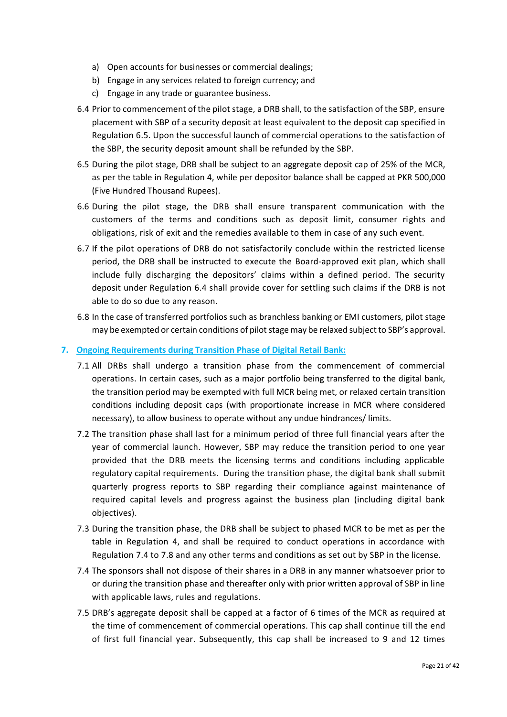- a) Open accounts for businesses or commercial dealings;
- b) Engage in any services related to foreign currency; and
- c) Engage in any trade or guarantee business.
- 6.4 Prior to commencement of the pilot stage, a DRB shall, to the satisfaction of the SBP, ensure placement with SBP of a security deposit at least equivalent to the deposit cap specified in Regulation 6.5. Upon the successful launch of commercial operations to the satisfaction of the SBP, the security deposit amount shall be refunded by the SBP.
- 6.5 During the pilot stage, DRB shall be subject to an aggregate deposit cap of 25% of the MCR, as per the table in Regulation 4, while per depositor balance shall be capped at PKR 500,000 (Five Hundred Thousand Rupees).
- 6.6 During the pilot stage, the DRB shall ensure transparent communication with the customers of the terms and conditions such as deposit limit, consumer rights and obligations, risk of exit and the remedies available to them in case of any such event.
- 6.7 If the pilot operations of DRB do not satisfactorily conclude within the restricted license period, the DRB shall be instructed to execute the Board-approved exit plan, which shall include fully discharging the depositors' claims within a defined period. The security deposit under Regulation 6.4 shall provide cover for settling such claims if the DRB is not able to do so due to any reason.
- 6.8 In the case of transferred portfolios such as branchless banking or EMI customers, pilot stage may be exempted or certain conditions of pilot stage may be relaxed subject to SBP's approval.

## **7. Ongoing Requirements during Transition Phase of Digital Retail Bank:**

- 7.1 All DRBs shall undergo a transition phase from the commencement of commercial operations. In certain cases, such as a major portfolio being transferred to the digital bank, the transition period may be exempted with full MCR being met, or relaxed certain transition conditions including deposit caps (with proportionate increase in MCR where considered necessary), to allow business to operate without any undue hindrances/ limits.
- 7.2 The transition phase shall last for a minimum period of three full financial years after the year of commercial launch. However, SBP may reduce the transition period to one year provided that the DRB meets the licensing terms and conditions including applicable regulatory capital requirements. During the transition phase, the digital bank shall submit quarterly progress reports to SBP regarding their compliance against maintenance of required capital levels and progress against the business plan (including digital bank objectives).
- 7.3 During the transition phase, the DRB shall be subject to phased MCR to be met as per the table in Regulation 4, and shall be required to conduct operations in accordance with Regulation 7.4 to 7.8 and any other terms and conditions as set out by SBP in the license.
- 7.4 The sponsors shall not dispose of their shares in a DRB in any manner whatsoever prior to or during the transition phase and thereafter only with prior written approval of SBP in line with applicable laws, rules and regulations.
- 7.5 DRB's aggregate deposit shall be capped at a factor of 6 times of the MCR as required at the time of commencement of commercial operations. This cap shall continue till the end of first full financial year. Subsequently, this cap shall be increased to 9 and 12 times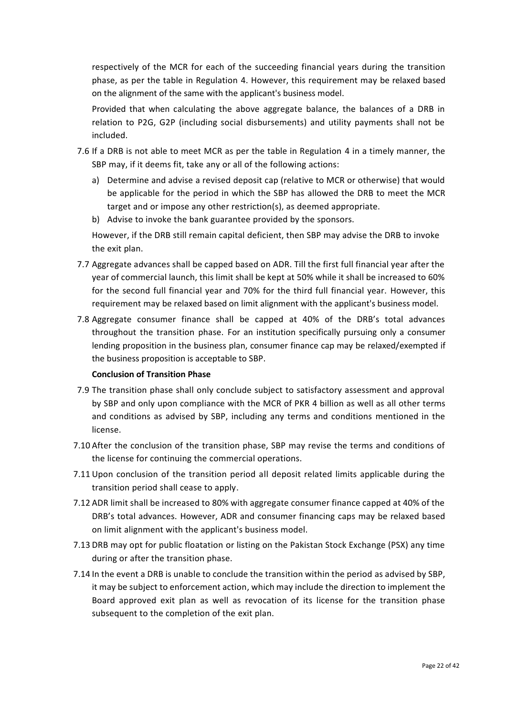respectively of the MCR for each of the succeeding financial years during the transition phase, as per the table in Regulation 4. However, this requirement may be relaxed based on the alignment of the same with the applicant's business model.

Provided that when calculating the above aggregate balance, the balances of a DRB in relation to P2G, G2P (including social disbursements) and utility payments shall not be included.

- 7.6 If a DRB is not able to meet MCR as per the table in Regulation 4 in a timely manner, the SBP may, if it deems fit, take any or all of the following actions:
	- a) Determine and advise a revised deposit cap (relative to MCR or otherwise) that would be applicable for the period in which the SBP has allowed the DRB to meet the MCR target and or impose any other restriction(s), as deemed appropriate.
	- b) Advise to invoke the bank guarantee provided by the sponsors.

However, if the DRB still remain capital deficient, then SBP may advise the DRB to invoke the exit plan.

- 7.7 Aggregate advances shall be capped based on ADR. Till the first full financial year after the year of commercial launch, this limit shall be kept at 50% while it shall be increased to 60% for the second full financial year and 70% for the third full financial year. However, this requirement may be relaxed based on limit alignment with the applicant's business model.
- 7.8 Aggregate consumer finance shall be capped at 40% of the DRB's total advances throughout the transition phase. For an institution specifically pursuing only a consumer lending proposition in the business plan, consumer finance cap may be relaxed/exempted if the business proposition is acceptable to SBP.

#### **Conclusion of Transition Phase**

- 7.9 The transition phase shall only conclude subject to satisfactory assessment and approval by SBP and only upon compliance with the MCR of PKR 4 billion as well as all other terms and conditions as advised by SBP, including any terms and conditions mentioned in the license.
- 7.10 After the conclusion of the transition phase, SBP may revise the terms and conditions of the license for continuing the commercial operations.
- 7.11 Upon conclusion of the transition period all deposit related limits applicable during the transition period shall cease to apply.
- 7.12 ADR limit shall be increased to 80% with aggregate consumer finance capped at 40% of the DRB's total advances. However, ADR and consumer financing caps may be relaxed based on limit alignment with the applicant's business model.
- 7.13 DRB may opt for public floatation or listing on the Pakistan Stock Exchange (PSX) any time during or after the transition phase.
- 7.14 In the event a DRB is unable to conclude the transition within the period as advised by SBP, it may be subject to enforcement action, which may include the direction to implement the Board approved exit plan as well as revocation of its license for the transition phase subsequent to the completion of the exit plan.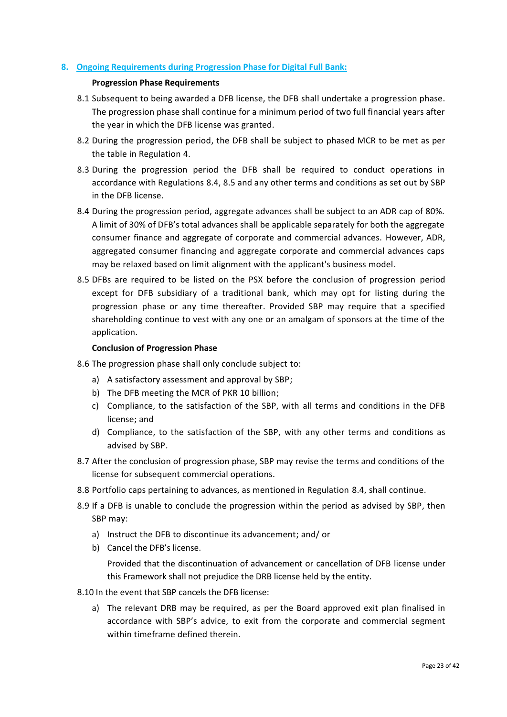## **8. Ongoing Requirements during Progression Phase for Digital Full Bank:**

## **Progression Phase Requirements**

- 8.1 Subsequent to being awarded a DFB license, the DFB shall undertake a progression phase. The progression phase shall continue for a minimum period of two full financial years after the year in which the DFB license was granted.
- 8.2 During the progression period, the DFB shall be subject to phased MCR to be met as per the table in Regulation 4.
- 8.3 During the progression period the DFB shall be required to conduct operations in accordance with Regulations 8.4, 8.5 and any other terms and conditions as set out by SBP in the DFB license.
- 8.4 During the progression period, aggregate advances shall be subject to an ADR cap of 80%. A limit of 30% of DFB's total advances shall be applicable separately for both the aggregate consumer finance and aggregate of corporate and commercial advances. However, ADR, aggregated consumer financing and aggregate corporate and commercial advances caps may be relaxed based on limit alignment with the applicant's business model.
- 8.5 DFBs are required to be listed on the PSX before the conclusion of progression period except for DFB subsidiary of a traditional bank, which may opt for listing during the progression phase or any time thereafter. Provided SBP may require that a specified shareholding continue to vest with any one or an amalgam of sponsors at the time of the application.

## **Conclusion of Progression Phase**

- 8.6 The progression phase shall only conclude subject to:
	- a) A satisfactory assessment and approval by SBP;
	- b) The DFB meeting the MCR of PKR 10 billion;
	- c) Compliance, to the satisfaction of the SBP, with all terms and conditions in the DFB license; and
	- d) Compliance, to the satisfaction of the SBP, with any other terms and conditions as advised by SBP.
- 8.7 After the conclusion of progression phase, SBP may revise the terms and conditions of the license for subsequent commercial operations.
- 8.8 Portfolio caps pertaining to advances, as mentioned in Regulation 8.4, shall continue.
- 8.9 If a DFB is unable to conclude the progression within the period as advised by SBP, then SBP may:
	- a) Instruct the DFB to discontinue its advancement; and/ or
	- b) Cancel the DFB's license.

Provided that the discontinuation of advancement or cancellation of DFB license under this Framework shall not prejudice the DRB license held by the entity.

- 8.10 In the event that SBP cancels the DFB license:
	- a) The relevant DRB may be required, as per the Board approved exit plan finalised in accordance with SBP's advice, to exit from the corporate and commercial segment within timeframe defined therein.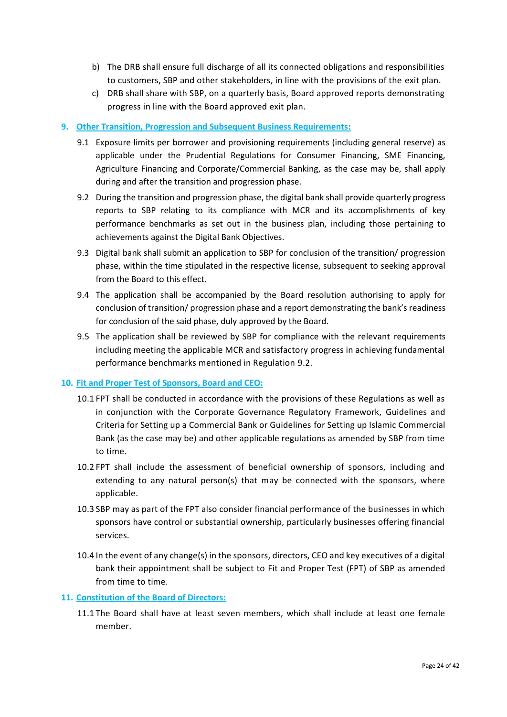- b) The DRB shall ensure full discharge of all its connected obligations and responsibilities to customers, SBP and other stakeholders, in line with the provisions of the exit plan.
- c) DRB shall share with SBP, on a quarterly basis, Board approved reports demonstrating progress in line with the Board approved exit plan.

## **9. Other Transition, Progression and Subsequent Business Requirements:**

- 9.1 Exposure limits per borrower and provisioning requirements (including general reserve) as applicable under the Prudential Regulations for Consumer Financing, SME Financing, Agriculture Financing and Corporate/Commercial Banking, as the case may be, shall apply during and after the transition and progression phase.
- 9.2 During the transition and progression phase, the digital bank shall provide quarterly progress reports to SBP relating to its compliance with MCR and its accomplishments of key performance benchmarks as set out in the business plan, including those pertaining to achievements against the Digital Bank Objectives.
- 9.3 Digital bank shall submit an application to SBP for conclusion of the transition/ progression phase, within the time stipulated in the respective license, subsequent to seeking approval from the Board to this effect.
- 9.4 The application shall be accompanied by the Board resolution authorising to apply for conclusion of transition/ progression phase and a report demonstrating the bank's readiness for conclusion of the said phase, duly approved by the Board.
- 9.5 The application shall be reviewed by SBP for compliance with the relevant requirements including meeting the applicable MCR and satisfactory progress in achieving fundamental performance benchmarks mentioned in Regulation 9.2.

## **10. Fit and Proper Test of Sponsors, Board and CEO:**

- 10.1 FPT shall be conducted in accordance with the provisions of these Regulations as well as in conjunction with the Corporate Governance Regulatory Framework, Guidelines and Criteria for Setting up a Commercial Bank or Guidelines for Setting up Islamic Commercial Bank (as the case may be) and other applicable regulations as amended by SBP from time to time.
- 10.2 FPT shall include the assessment of beneficial ownership of sponsors, including and extending to any natural person(s) that may be connected with the sponsors, where applicable.
- 10.3 SBP may as part of the FPT also consider financial performance of the businesses in which sponsors have control or substantial ownership, particularly businesses offering financial services.
- 10.4 In the event of any change(s) in the sponsors, directors, CEO and key executives of a digital bank their appointment shall be subject to Fit and Proper Test (FPT) of SBP as amended from time to time.

## **11. Constitution of the Board of Directors:**

11.1 The Board shall have at least seven members, which shall include at least one female member.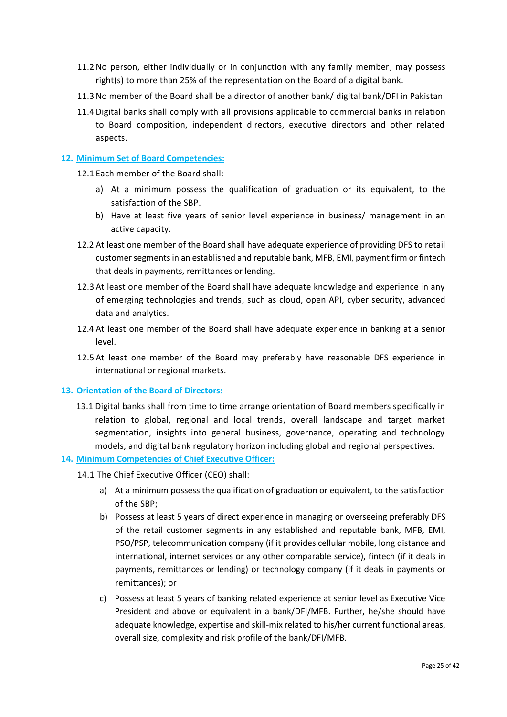- 11.2 No person, either individually or in conjunction with any family member, may possess right(s) to more than 25% of the representation on the Board of a digital bank.
- 11.3 No member of the Board shall be a director of another bank/ digital bank/DFI in Pakistan.
- 11.4 Digital banks shall comply with all provisions applicable to commercial banks in relation to Board composition, independent directors, executive directors and other related aspects.

## **12. Minimum Set of Board Competencies:**

12.1 Each member of the Board shall:

- a) At a minimum possess the qualification of graduation or its equivalent, to the satisfaction of the SBP.
- b) Have at least five years of senior level experience in business/ management in an active capacity.
- 12.2 At least one member of the Board shall have adequate experience of providing DFS to retail customer segments in an established and reputable bank, MFB, EMI, payment firm or fintech that deals in payments, remittances or lending.
- 12.3 At least one member of the Board shall have adequate knowledge and experience in any of emerging technologies and trends, such as cloud, open API, cyber security, advanced data and analytics.
- 12.4 At least one member of the Board shall have adequate experience in banking at a senior level.
- 12.5 At least one member of the Board may preferably have reasonable DFS experience in international or regional markets.

## **13. Orientation of the Board of Directors:**

13.1 Digital banks shall from time to time arrange orientation of Board members specifically in relation to global, regional and local trends, overall landscape and target market segmentation, insights into general business, governance, operating and technology models, and digital bank regulatory horizon including global and regional perspectives.

## **14. Minimum Competencies of Chief Executive Officer:**

- 14.1 The Chief Executive Officer (CEO) shall:
	- a) At a minimum possess the qualification of graduation or equivalent, to the satisfaction of the SBP;
	- b) Possess at least 5 years of direct experience in managing or overseeing preferably DFS of the retail customer segments in any established and reputable bank, MFB, EMI, PSO/PSP, telecommunication company (if it provides cellular mobile, long distance and international, internet services or any other comparable service), fintech (if it deals in payments, remittances or lending) or technology company (if it deals in payments or remittances); or
	- c) Possess at least 5 years of banking related experience at senior level as Executive Vice President and above or equivalent in a bank/DFI/MFB. Further, he/she should have adequate knowledge, expertise and skill-mix related to his/her current functional areas, overall size, complexity and risk profile of the bank/DFI/MFB.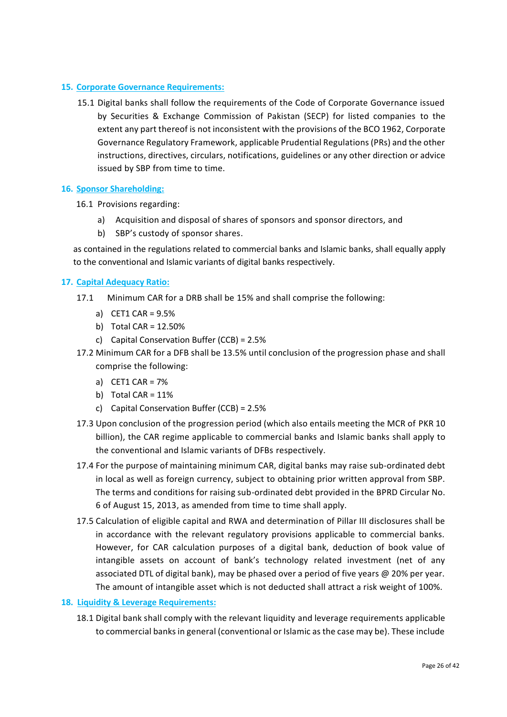## **15. Corporate Governance Requirements:**

15.1 Digital banks shall follow the requirements of the Code of Corporate Governance issued by Securities & Exchange Commission of Pakistan (SECP) for listed companies to the extent any part thereof is not inconsistent with the provisions of the BCO 1962, Corporate Governance Regulatory Framework, applicable Prudential Regulations (PRs) and the other instructions, directives, circulars, notifications, guidelines or any other direction or advice issued by SBP from time to time.

## **16. Sponsor Shareholding:**

- 16.1 Provisions regarding:
	- a) Acquisition and disposal of shares of sponsors and sponsor directors, and
	- b) SBP's custody of sponsor shares.

as contained in the regulations related to commercial banks and Islamic banks, shall equally apply to the conventional and Islamic variants of digital banks respectively.

## **17. Capital Adequacy Ratio:**

- 17.1 Minimum CAR for a DRB shall be 15% and shall comprise the following:
	- a) CET1 CAR = 9.5%
	- b) Total CAR = 12.50%
	- c) Capital Conservation Buffer (CCB) = 2.5%
- 17.2 Minimum CAR for a DFB shall be 13.5% until conclusion of the progression phase and shall comprise the following:
	- a) CET1 CAR = 7%
	- b) Total CAR =  $11\%$
	- c) Capital Conservation Buffer (CCB) = 2.5%
- 17.3 Upon conclusion of the progression period (which also entails meeting the MCR of PKR 10 billion), the CAR regime applicable to commercial banks and Islamic banks shall apply to the conventional and Islamic variants of DFBs respectively.
- 17.4 For the purpose of maintaining minimum CAR, digital banks may raise sub-ordinated debt in local as well as foreign currency, subject to obtaining prior written approval from SBP. The terms and conditions for raising sub-ordinated debt provided in the BPRD Circular No. 6 of August 15, 2013, as amended from time to time shall apply.
- 17.5 Calculation of eligible capital and RWA and determination of Pillar III disclosures shall be in accordance with the relevant regulatory provisions applicable to commercial banks. However, for CAR calculation purposes of a digital bank, deduction of book value of intangible assets on account of bank's technology related investment (net of any associated DTL of digital bank), may be phased over a period of five years @ 20% per year. The amount of intangible asset which is not deducted shall attract a risk weight of 100%.

#### **18. Liquidity & Leverage Requirements:**

18.1 Digital bank shall comply with the relevant liquidity and leverage requirements applicable to commercial banks in general (conventional or Islamic as the case may be). These include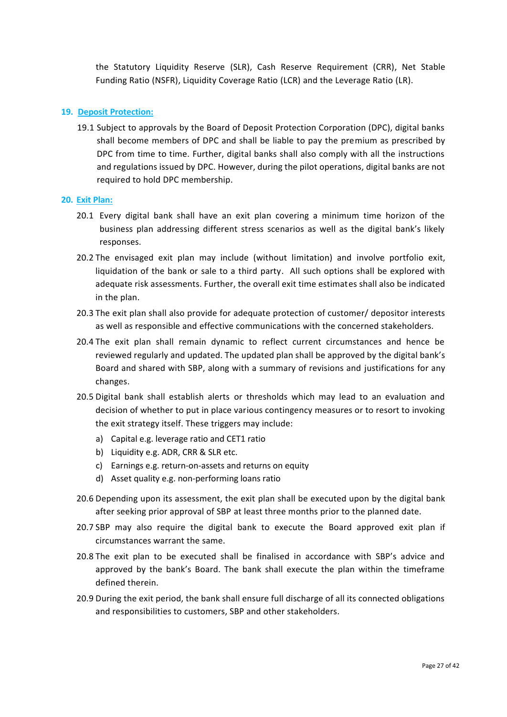the Statutory Liquidity Reserve (SLR), Cash Reserve Requirement (CRR), Net Stable Funding Ratio (NSFR), Liquidity Coverage Ratio (LCR) and the Leverage Ratio (LR).

## **19. Deposit Protection:**

19.1 Subject to approvals by the Board of Deposit Protection Corporation (DPC), digital banks shall become members of DPC and shall be liable to pay the premium as prescribed by DPC from time to time. Further, digital banks shall also comply with all the instructions and regulations issued by DPC. However, during the pilot operations, digital banks are not required to hold DPC membership.

#### **20. Exit Plan:**

- 20.1 Every digital bank shall have an exit plan covering a minimum time horizon of the business plan addressing different stress scenarios as well as the digital bank's likely responses.
- 20.2 The envisaged exit plan may include (without limitation) and involve portfolio exit, liquidation of the bank or sale to a third party. All such options shall be explored with adequate risk assessments. Further, the overall exit time estimates shall also be indicated in the plan.
- 20.3 The exit plan shall also provide for adequate protection of customer/ depositor interests as well as responsible and effective communications with the concerned stakeholders.
- 20.4 The exit plan shall remain dynamic to reflect current circumstances and hence be reviewed regularly and updated. The updated plan shall be approved by the digital bank's Board and shared with SBP, along with a summary of revisions and justifications for any changes.
- 20.5 Digital bank shall establish alerts or thresholds which may lead to an evaluation and decision of whether to put in place various contingency measures or to resort to invoking the exit strategy itself. These triggers may include:
	- a) Capital e.g. leverage ratio and CET1 ratio
	- b) Liquidity e.g. ADR, CRR & SLR etc.
	- c) Earnings e.g. return-on-assets and returns on equity
	- d) Asset quality e.g. non-performing loans ratio
- 20.6 Depending upon its assessment, the exit plan shall be executed upon by the digital bank after seeking prior approval of SBP at least three months prior to the planned date.
- 20.7 SBP may also require the digital bank to execute the Board approved exit plan if circumstances warrant the same.
- 20.8 The exit plan to be executed shall be finalised in accordance with SBP's advice and approved by the bank's Board. The bank shall execute the plan within the timeframe defined therein.
- 20.9 During the exit period, the bank shall ensure full discharge of all its connected obligations and responsibilities to customers, SBP and other stakeholders.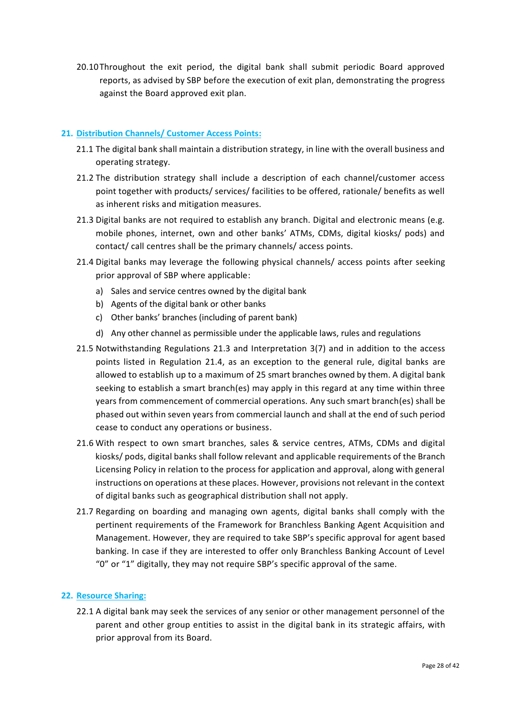20.10Throughout the exit period, the digital bank shall submit periodic Board approved reports, as advised by SBP before the execution of exit plan, demonstrating the progress against the Board approved exit plan.

## **21. Distribution Channels/ Customer Access Points:**

- 21.1 The digital bank shall maintain a distribution strategy, in line with the overall business and operating strategy.
- 21.2 The distribution strategy shall include a description of each channel/customer access point together with products/ services/ facilities to be offered, rationale/ benefits as well as inherent risks and mitigation measures.
- 21.3 Digital banks are not required to establish any branch. Digital and electronic means (e.g. mobile phones, internet, own and other banks' ATMs, CDMs, digital kiosks/ pods) and contact/ call centres shall be the primary channels/ access points.
- 21.4 Digital banks may leverage the following physical channels/ access points after seeking prior approval of SBP where applicable:
	- a) Sales and service centres owned by the digital bank
	- b) Agents of the digital bank or other banks
	- c) Other banks' branches (including of parent bank)
	- d) Any other channel as permissible under the applicable laws, rules and regulations
- 21.5 Notwithstanding Regulations 21.3 and Interpretation 3(7) and in addition to the access points listed in Regulation 21.4, as an exception to the general rule, digital banks are allowed to establish up to a maximum of 25 smart branches owned by them. A digital bank seeking to establish a smart branch(es) may apply in this regard at any time within three years from commencement of commercial operations. Any such smart branch(es) shall be phased out within seven years from commercial launch and shall at the end of such period cease to conduct any operations or business.
- 21.6 With respect to own smart branches, sales & service centres, ATMs, CDMs and digital kiosks/ pods, digital banks shall follow relevant and applicable requirements of the Branch Licensing Policy in relation to the process for application and approval, along with general instructions on operations at these places. However, provisions not relevant in the context of digital banks such as geographical distribution shall not apply.
- 21.7 Regarding on boarding and managing own agents, digital banks shall comply with the pertinent requirements of the Framework for Branchless Banking Agent Acquisition and Management. However, they are required to take SBP's specific approval for agent based banking. In case if they are interested to offer only Branchless Banking Account of Level "0" or "1" digitally, they may not require SBP's specific approval of the same.

## **22. Resource Sharing:**

22.1 A digital bank may seek the services of any senior or other management personnel of the parent and other group entities to assist in the digital bank in its strategic affairs, with prior approval from its Board.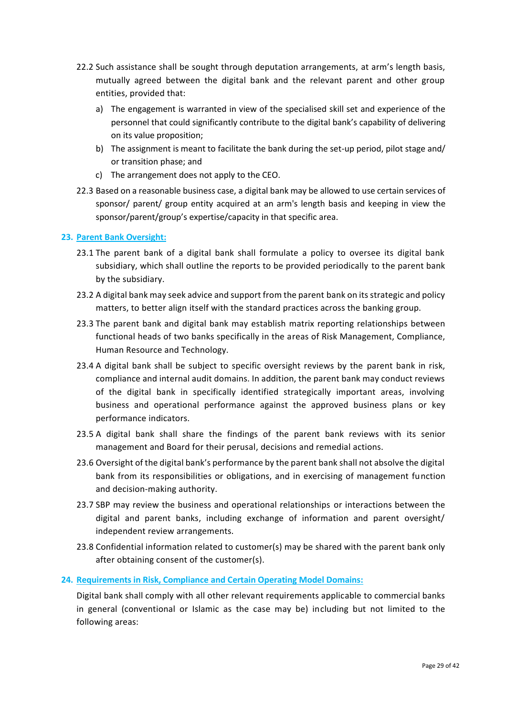- 22.2 Such assistance shall be sought through deputation arrangements, at arm's length basis, mutually agreed between the digital bank and the relevant parent and other group entities, provided that:
	- a) The engagement is warranted in view of the specialised skill set and experience of the personnel that could significantly contribute to the digital bank's capability of delivering on its value proposition;
	- b) The assignment is meant to facilitate the bank during the set-up period, pilot stage and/ or transition phase; and
	- c) The arrangement does not apply to the CEO.
- 22.3 Based on a reasonable business case, a digital bank may be allowed to use certain services of sponsor/ parent/ group entity acquired at an arm's length basis and keeping in view the sponsor/parent/group's expertise/capacity in that specific area.

## **23. Parent Bank Oversight:**

- 23.1 The parent bank of a digital bank shall formulate a policy to oversee its digital bank subsidiary, which shall outline the reports to be provided periodically to the parent bank by the subsidiary.
- 23.2 A digital bank may seek advice and support from the parent bank on its strategic and policy matters, to better align itself with the standard practices across the banking group.
- 23.3 The parent bank and digital bank may establish matrix reporting relationships between functional heads of two banks specifically in the areas of Risk Management, Compliance, Human Resource and Technology.
- 23.4 A digital bank shall be subject to specific oversight reviews by the parent bank in risk, compliance and internal audit domains. In addition, the parent bank may conduct reviews of the digital bank in specifically identified strategically important areas, involving business and operational performance against the approved business plans or key performance indicators.
- 23.5 A digital bank shall share the findings of the parent bank reviews with its senior management and Board for their perusal, decisions and remedial actions.
- 23.6 Oversight of the digital bank's performance by the parent bank shall not absolve the digital bank from its responsibilities or obligations, and in exercising of management function and decision-making authority.
- 23.7 SBP may review the business and operational relationships or interactions between the digital and parent banks, including exchange of information and parent oversight/ independent review arrangements.
- 23.8 Confidential information related to customer(s) may be shared with the parent bank only after obtaining consent of the customer(s).

## **24. Requirements in Risk, Compliance and Certain Operating Model Domains:**

Digital bank shall comply with all other relevant requirements applicable to commercial banks in general (conventional or Islamic as the case may be) including but not limited to the following areas: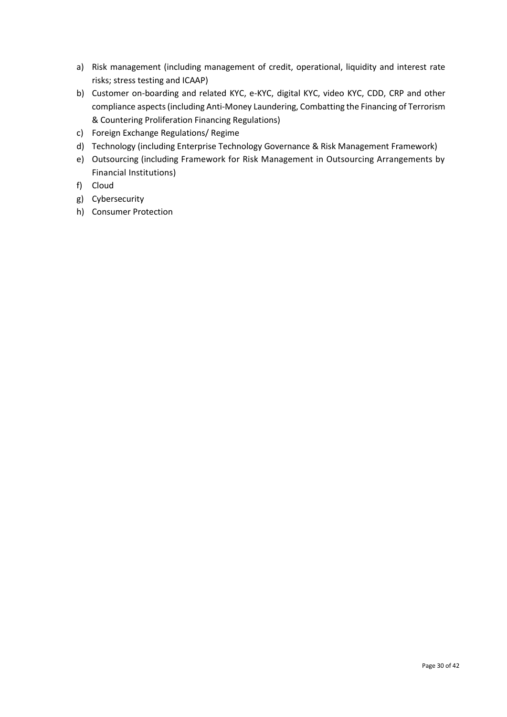- a) Risk management (including management of credit, operational, liquidity and interest rate risks; stress testing and ICAAP)
- b) Customer on-boarding and related KYC, e-KYC, digital KYC, video KYC, CDD, CRP and other compliance aspects (including Anti-Money Laundering, Combatting the Financing of Terrorism & Countering Proliferation Financing Regulations)
- c) Foreign Exchange Regulations/ Regime
- d) Technology (including Enterprise Technology Governance & Risk Management Framework)
- e) Outsourcing (including Framework for Risk Management in Outsourcing Arrangements by Financial Institutions)
- f) Cloud
- g) Cybersecurity
- h) Consumer Protection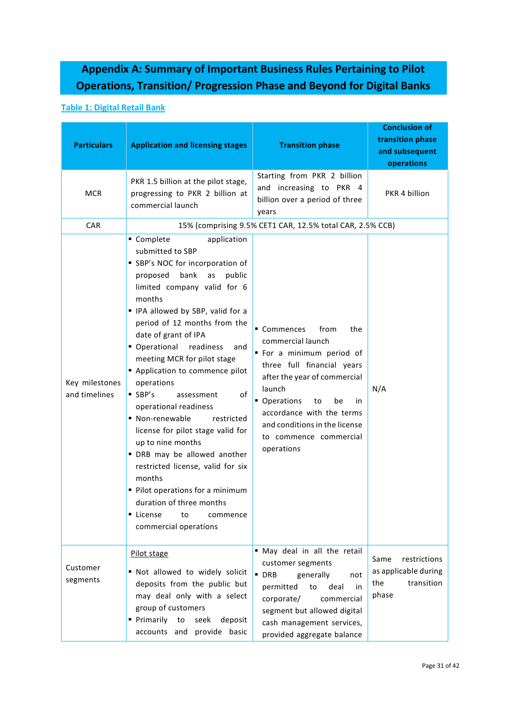# **Appendix A: Summary of Important Business Rules Pertaining to Pilot Operations, Transition/ Progression Phase and Beyond for Digital Banks**

## **Table 1: Digital Retail Bank**

| <b>Particulars</b>              | <b>Application and licensing stages</b>                                                                                                                                                                                                                                                                                                                                                                                                                                                                                                                                                                                                                                                                                                         | <b>Transition phase</b>                                                                                                                                                                                                                                                                      | <b>Conclusion of</b><br>transition phase<br>and subsequent<br>operations   |
|---------------------------------|-------------------------------------------------------------------------------------------------------------------------------------------------------------------------------------------------------------------------------------------------------------------------------------------------------------------------------------------------------------------------------------------------------------------------------------------------------------------------------------------------------------------------------------------------------------------------------------------------------------------------------------------------------------------------------------------------------------------------------------------------|----------------------------------------------------------------------------------------------------------------------------------------------------------------------------------------------------------------------------------------------------------------------------------------------|----------------------------------------------------------------------------|
| <b>MCR</b>                      | PKR 1.5 billion at the pilot stage,<br>progressing to PKR 2 billion at<br>commercial launch                                                                                                                                                                                                                                                                                                                                                                                                                                                                                                                                                                                                                                                     | Starting from PKR 2 billion<br>and increasing to PKR 4<br>billion over a period of three<br>years                                                                                                                                                                                            | PKR 4 billion                                                              |
| CAR                             |                                                                                                                                                                                                                                                                                                                                                                                                                                                                                                                                                                                                                                                                                                                                                 | 15% (comprising 9.5% CET1 CAR, 12.5% total CAR, 2.5% CCB)                                                                                                                                                                                                                                    |                                                                            |
| Key milestones<br>and timelines | ■ Complete<br>application<br>submitted to SBP<br>SBP's NOC for incorporation of<br>bank<br>public<br>proposed<br>as<br>limited company valid for 6<br>months<br>" IPA allowed by SBP, valid for a<br>period of 12 months from the<br>date of grant of IPA<br>• Operational<br>readiness<br>and<br>meeting MCR for pilot stage<br>Application to commence pilot<br>operations<br>$\blacksquare$ SBP's<br>of<br>assessment<br>operational readiness<br>• Non-renewable<br>restricted<br>license for pilot stage valid for<br>up to nine months<br>" DRB may be allowed another<br>restricted license, valid for six<br>months<br>Pilot operations for a minimum<br>duration of three months<br>License<br>to<br>commence<br>commercial operations | from<br>■ Commences<br>the<br>commercial launch<br>" For a minimum period of<br>three full financial years<br>after the year of commercial<br>launch<br>• Operations<br>to<br>be<br>in<br>accordance with the terms<br>and conditions in the license<br>to commence commercial<br>operations | N/A                                                                        |
| Customer<br>segments            | Pilot stage<br>" Not allowed to widely solicit<br>deposits from the public but<br>may deal only with a select<br>group of customers<br>■ Primarily<br>deposit<br>to<br>seek<br>accounts and provide basic                                                                                                                                                                                                                                                                                                                                                                                                                                                                                                                                       | " May deal in all the retail<br>customer segments<br>$\blacksquare$ DRB<br>generally<br>not<br>deal<br>permitted<br>to<br>in<br>corporate/<br>commercial<br>segment but allowed digital<br>cash management services,<br>provided aggregate balance                                           | Same<br>restrictions<br>as applicable during<br>the<br>transition<br>phase |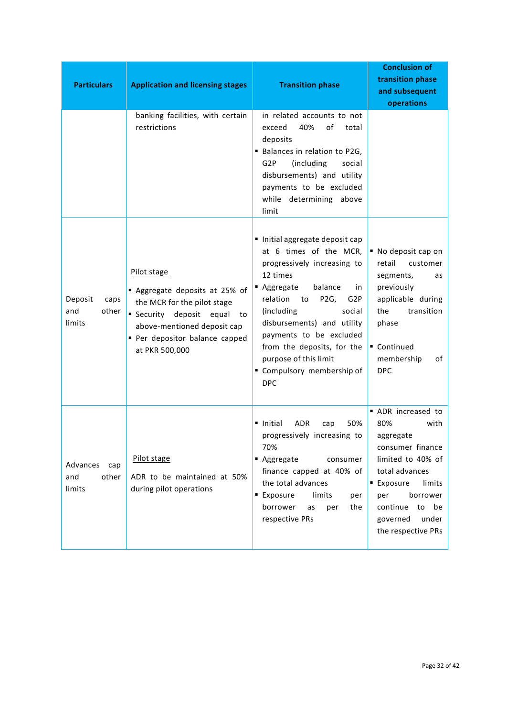| <b>Particulars</b>                        | <b>Application and licensing stages</b>                                                                                                                                                     | <b>Transition phase</b>                                                                                                                                                                                                                                                                                                                                              | <b>Conclusion of</b><br>transition phase<br>and subsequent<br>operations                                                                                                                                              |
|-------------------------------------------|---------------------------------------------------------------------------------------------------------------------------------------------------------------------------------------------|----------------------------------------------------------------------------------------------------------------------------------------------------------------------------------------------------------------------------------------------------------------------------------------------------------------------------------------------------------------------|-----------------------------------------------------------------------------------------------------------------------------------------------------------------------------------------------------------------------|
|                                           | banking facilities, with certain<br>restrictions                                                                                                                                            | in related accounts to not<br>40%<br>of<br>exceed<br>total<br>deposits<br>Balances in relation to P2G,<br>G <sub>2</sub> P<br>(including<br>social<br>disbursements) and utility<br>payments to be excluded<br>while determining above<br>limit                                                                                                                      |                                                                                                                                                                                                                       |
| Deposit<br>caps<br>other<br>and<br>limits | Pilot stage<br>Aggregate deposits at 25% of<br>the MCR for the pilot stage<br>Security deposit equal<br>to<br>above-mentioned deposit cap<br>Per depositor balance capped<br>at PKR 500,000 | Initial aggregate deposit cap<br>at 6 times of the MCR,<br>progressively increasing to<br>12 times<br>balance<br>■ Aggregate<br>in<br>relation<br>to<br>P2G,<br>G <sub>2</sub> P<br>(including<br>social<br>disbursements) and utility<br>payments to be excluded<br>from the deposits, for the<br>purpose of this limit<br>" Compulsory membership of<br><b>DPC</b> | ■ No deposit cap on<br>retail<br>customer<br>segments,<br>as<br>previously<br>applicable during<br>the<br>transition<br>phase<br>Continued<br>membership<br>of<br><b>DPC</b>                                          |
| Advances<br>cap<br>and<br>other<br>limits | Pilot stage<br>ADR to be maintained at 50%<br>during pilot operations                                                                                                                       | <b>ADR</b><br>50%<br>• Initial<br>cap<br>progressively increasing to<br>70%<br>■ Aggregate<br>consumer<br>finance capped at 40% of<br>the total advances<br>■ Exposure<br>limits<br>per<br>borrower<br>the<br>as<br>per<br>respective PRs                                                                                                                            | ADR increased to<br>80%<br>with<br>aggregate<br>consumer finance<br>limited to 40% of<br>total advances<br>■ Exposure<br>limits<br>borrower<br>per<br>continue<br>be<br>to<br>under<br>governed<br>the respective PRs |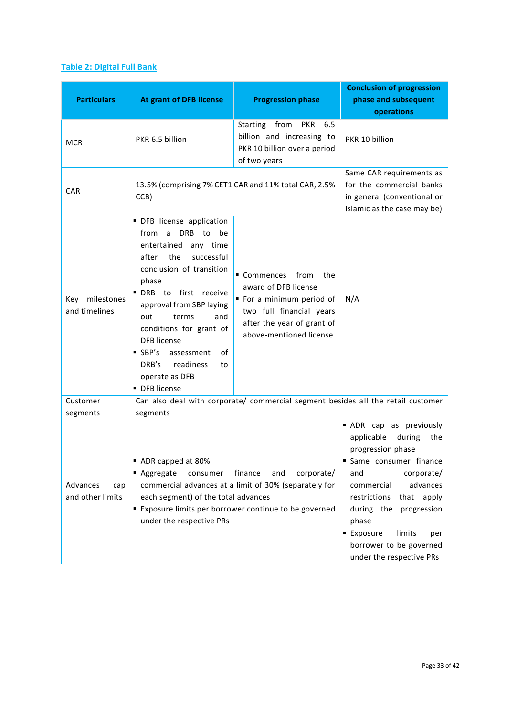## **Table 2: Digital Full Bank**

| <b>Particulars</b>                  | <b>At grant of DFB license</b>                                                                                                                                                                                                                                                                                                                                                           | <b>Progression phase</b>                                                                                                                                        | <b>Conclusion of progression</b><br>phase and subsequent<br>operations                                                                                                                                                                                                                                      |
|-------------------------------------|------------------------------------------------------------------------------------------------------------------------------------------------------------------------------------------------------------------------------------------------------------------------------------------------------------------------------------------------------------------------------------------|-----------------------------------------------------------------------------------------------------------------------------------------------------------------|-------------------------------------------------------------------------------------------------------------------------------------------------------------------------------------------------------------------------------------------------------------------------------------------------------------|
| <b>MCR</b>                          | PKR 6.5 billion                                                                                                                                                                                                                                                                                                                                                                          | Starting from<br>PKR<br>6.5<br>billion and increasing to<br>PKR 10 billion over a period<br>of two years                                                        | PKR 10 billion                                                                                                                                                                                                                                                                                              |
| <b>CAR</b>                          | 13.5% (comprising 7% CET1 CAR and 11% total CAR, 2.5%<br>CCB)                                                                                                                                                                                                                                                                                                                            |                                                                                                                                                                 | Same CAR requirements as<br>for the commercial banks<br>in general (conventional or<br>Islamic as the case may be)                                                                                                                                                                                          |
| Key milestones<br>and timelines     | · DFB license application<br>DRB to<br>from a<br>be<br>entertained<br>any time<br>successful<br>after<br>the<br>conclusion of transition<br>phase<br>· DRB to first receive<br>approval from SBP laying<br>out<br>terms<br>and<br>conditions for grant of<br><b>DFB</b> license<br>$\blacksquare$ SBP's<br>assessment<br>οf<br>DRB's<br>readiness<br>to<br>operate as DFB<br>DFB license | Commences from<br>the<br>award of DFB license<br>" For a minimum period of<br>two full financial years<br>after the year of grant of<br>above-mentioned license | N/A                                                                                                                                                                                                                                                                                                         |
| Customer<br>segments                | segments                                                                                                                                                                                                                                                                                                                                                                                 | Can also deal with corporate/ commercial segment besides all the retail customer                                                                                |                                                                                                                                                                                                                                                                                                             |
| Advances<br>cap<br>and other limits | ADR capped at 80%<br>■ Aggregate<br>finance<br>consumer<br>and<br>corporate/<br>commercial advances at a limit of 30% (separately for<br>each segment) of the total advances<br>Exposure limits per borrower continue to be governed<br>under the respective PRs                                                                                                                         |                                                                                                                                                                 | ADR cap as previously<br>applicable<br>during<br>the<br>progression phase<br>Same consumer finance<br>corporate/<br>and<br>advances<br>commercial<br>restrictions<br>that apply<br>progression<br>during the<br>phase<br>■ Exposure<br>limits<br>per<br>borrower to be governed<br>under the respective PRs |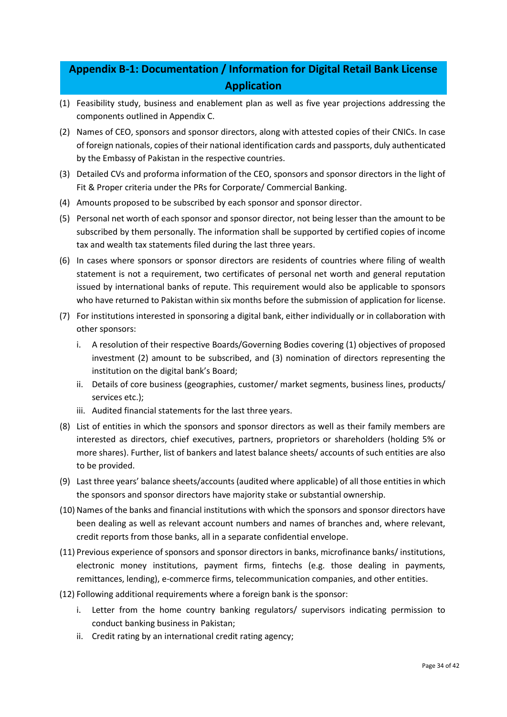# **Appendix B-1: Documentation / Information for Digital Retail Bank License Application**

- (1) Feasibility study, business and enablement plan as well as five year projections addressing the components outlined in Appendix C.
- (2) Names of CEO, sponsors and sponsor directors, along with attested copies of their CNICs. In case of foreign nationals, copies of their national identification cards and passports, duly authenticated by the Embassy of Pakistan in the respective countries.
- (3) Detailed CVs and proforma information of the CEO, sponsors and sponsor directors in the light of Fit & Proper criteria under the PRs for Corporate/ Commercial Banking.
- (4) Amounts proposed to be subscribed by each sponsor and sponsor director.
- (5) Personal net worth of each sponsor and sponsor director, not being lesser than the amount to be subscribed by them personally. The information shall be supported by certified copies of income tax and wealth tax statements filed during the last three years.
- (6) In cases where sponsors or sponsor directors are residents of countries where filing of wealth statement is not a requirement, two certificates of personal net worth and general reputation issued by international banks of repute. This requirement would also be applicable to sponsors who have returned to Pakistan within six months before the submission of application for license.
- (7) For institutions interested in sponsoring a digital bank, either individually or in collaboration with other sponsors:
	- i. A resolution of their respective Boards/Governing Bodies covering (1) objectives of proposed investment (2) amount to be subscribed, and (3) nomination of directors representing the institution on the digital bank's Board;
	- ii. Details of core business (geographies, customer/ market segments, business lines, products/ services etc.);
	- iii. Audited financial statements for the last three years.
- (8) List of entities in which the sponsors and sponsor directors as well as their family members are interested as directors, chief executives, partners, proprietors or shareholders (holding 5% or more shares). Further, list of bankers and latest balance sheets/ accounts of such entities are also to be provided.
- (9) Last three years' balance sheets/accounts (audited where applicable) of all those entities in which the sponsors and sponsor directors have majority stake or substantial ownership.
- (10) Names of the banks and financial institutions with which the sponsors and sponsor directors have been dealing as well as relevant account numbers and names of branches and, where relevant, credit reports from those banks, all in a separate confidential envelope.
- (11) Previous experience of sponsors and sponsor directors in banks, microfinance banks/ institutions, electronic money institutions, payment firms, fintechs (e.g. those dealing in payments, remittances, lending), e-commerce firms, telecommunication companies, and other entities.
- (12) Following additional requirements where a foreign bank is the sponsor:
	- i. Letter from the home country banking regulators/ supervisors indicating permission to conduct banking business in Pakistan;
	- ii. Credit rating by an international credit rating agency;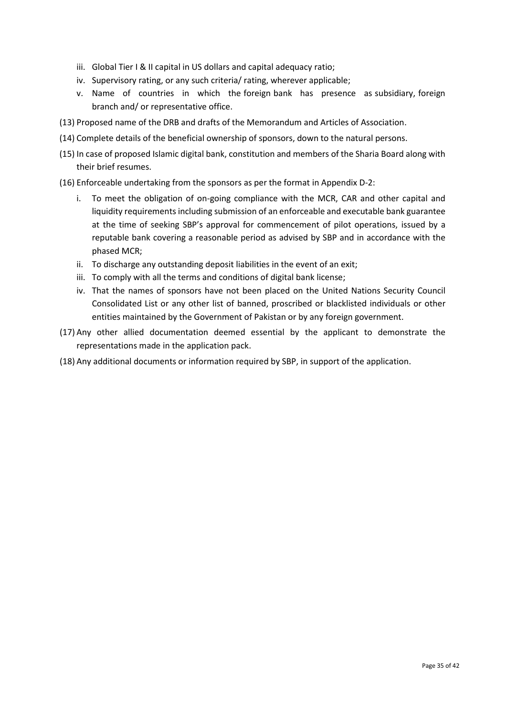- iii. Global Tier I & II capital in US dollars and capital adequacy ratio;
- iv. Supervisory rating, or any such criteria/ rating, wherever applicable;
- v. Name of countries in which the foreign bank has presence as subsidiary, foreign branch and/ or representative office.
- (13) Proposed name of the DRB and drafts of the Memorandum and Articles of Association.
- (14) Complete details of the beneficial ownership of sponsors, down to the natural persons.
- (15) In case of proposed Islamic digital bank, constitution and members of the Sharia Board along with their brief resumes.
- (16) Enforceable undertaking from the sponsors as per the format in Appendix D-2:
	- i. To meet the obligation of on-going compliance with the MCR, CAR and other capital and liquidity requirements including submission of an enforceable and executable bank guarantee at the time of seeking SBP's approval for commencement of pilot operations, issued by a reputable bank covering a reasonable period as advised by SBP and in accordance with the phased MCR;
	- ii. To discharge any outstanding deposit liabilities in the event of an exit;
	- iii. To comply with all the terms and conditions of digital bank license;
	- iv. That the names of sponsors have not been placed on the United Nations Security Council Consolidated List or any other list of banned, proscribed or blacklisted individuals or other entities maintained by the Government of Pakistan or by any foreign government.
- (17) Any other allied documentation deemed essential by the applicant to demonstrate the representations made in the application pack.
- (18) Any additional documents or information required by SBP, in support of the application.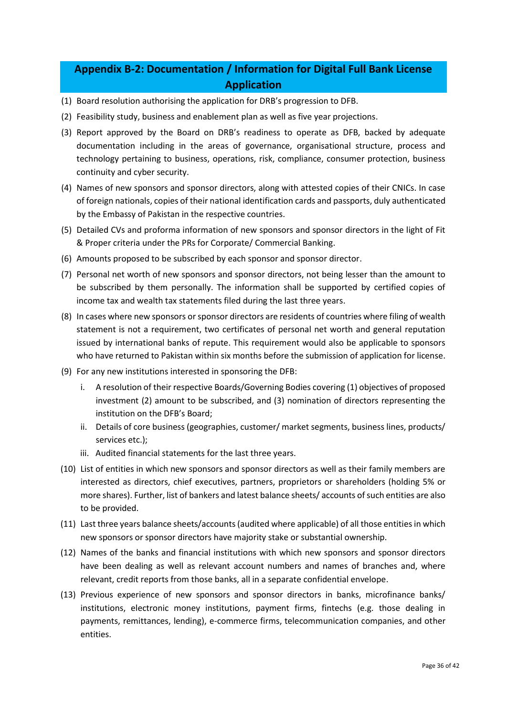# **Appendix B-2: Documentation / Information for Digital Full Bank License Application**

- (1) Board resolution authorising the application for DRB's progression to DFB.
- (2) Feasibility study, business and enablement plan as well as five year projections.
- (3) Report approved by the Board on DRB's readiness to operate as DFB, backed by adequate documentation including in the areas of governance, organisational structure, process and technology pertaining to business, operations, risk, compliance, consumer protection, business continuity and cyber security.
- (4) Names of new sponsors and sponsor directors, along with attested copies of their CNICs. In case of foreign nationals, copies of their national identification cards and passports, duly authenticated by the Embassy of Pakistan in the respective countries.
- (5) Detailed CVs and proforma information of new sponsors and sponsor directors in the light of Fit & Proper criteria under the PRs for Corporate/ Commercial Banking.
- (6) Amounts proposed to be subscribed by each sponsor and sponsor director.
- (7) Personal net worth of new sponsors and sponsor directors, not being lesser than the amount to be subscribed by them personally. The information shall be supported by certified copies of income tax and wealth tax statements filed during the last three years.
- (8) In cases where new sponsors or sponsor directors are residents of countries where filing of wealth statement is not a requirement, two certificates of personal net worth and general reputation issued by international banks of repute. This requirement would also be applicable to sponsors who have returned to Pakistan within six months before the submission of application for license.
- (9) For any new institutions interested in sponsoring the DFB:
	- i. A resolution of their respective Boards/Governing Bodies covering (1) objectives of proposed investment (2) amount to be subscribed, and (3) nomination of directors representing the institution on the DFB's Board;
	- ii. Details of core business (geographies, customer/ market segments, business lines, products/ services etc.);
	- iii. Audited financial statements for the last three years.
- (10) List of entities in which new sponsors and sponsor directors as well as their family members are interested as directors, chief executives, partners, proprietors or shareholders (holding 5% or more shares). Further, list of bankers and latest balance sheets/ accounts of such entities are also to be provided.
- (11) Last three years balance sheets/accounts (audited where applicable) of all those entities in which new sponsors or sponsor directors have majority stake or substantial ownership.
- (12) Names of the banks and financial institutions with which new sponsors and sponsor directors have been dealing as well as relevant account numbers and names of branches and, where relevant, credit reports from those banks, all in a separate confidential envelope.
- (13) Previous experience of new sponsors and sponsor directors in banks, microfinance banks/ institutions, electronic money institutions, payment firms, fintechs (e.g. those dealing in payments, remittances, lending), e-commerce firms, telecommunication companies, and other entities.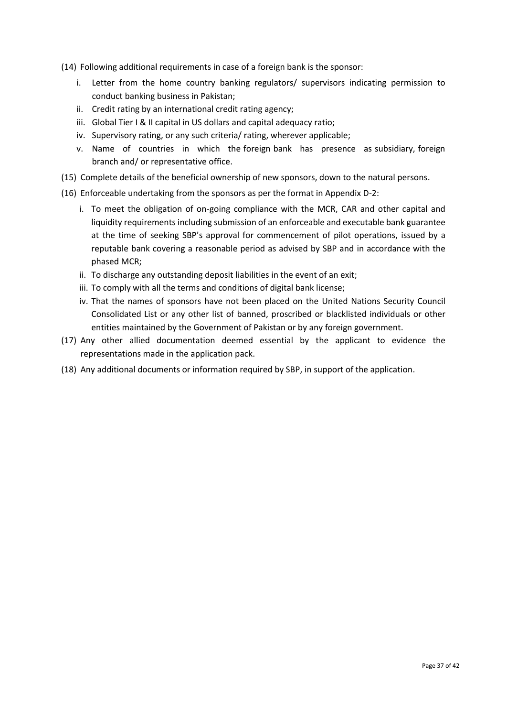- (14) Following additional requirements in case of a foreign bank is the sponsor:
	- i. Letter from the home country banking regulators/ supervisors indicating permission to conduct banking business in Pakistan;
	- ii. Credit rating by an international credit rating agency;
	- iii. Global Tier I & II capital in US dollars and capital adequacy ratio;
	- iv. Supervisory rating, or any such criteria/ rating, wherever applicable;
	- v. Name of countries in which the foreign bank has presence as subsidiary, foreign branch and/ or representative office.
- (15) Complete details of the beneficial ownership of new sponsors, down to the natural persons.
- (16) Enforceable undertaking from the sponsors as per the format in Appendix D-2:
	- i. To meet the obligation of on-going compliance with the MCR, CAR and other capital and liquidity requirements including submission of an enforceable and executable bank guarantee at the time of seeking SBP's approval for commencement of pilot operations, issued by a reputable bank covering a reasonable period as advised by SBP and in accordance with the phased MCR;
	- ii. To discharge any outstanding deposit liabilities in the event of an exit;
	- iii. To comply with all the terms and conditions of digital bank license;
	- iv. That the names of sponsors have not been placed on the United Nations Security Council Consolidated List or any other list of banned, proscribed or blacklisted individuals or other entities maintained by the Government of Pakistan or by any foreign government.
- (17) Any other allied documentation deemed essential by the applicant to evidence the representations made in the application pack.
- (18) Any additional documents or information required by SBP, in support of the application.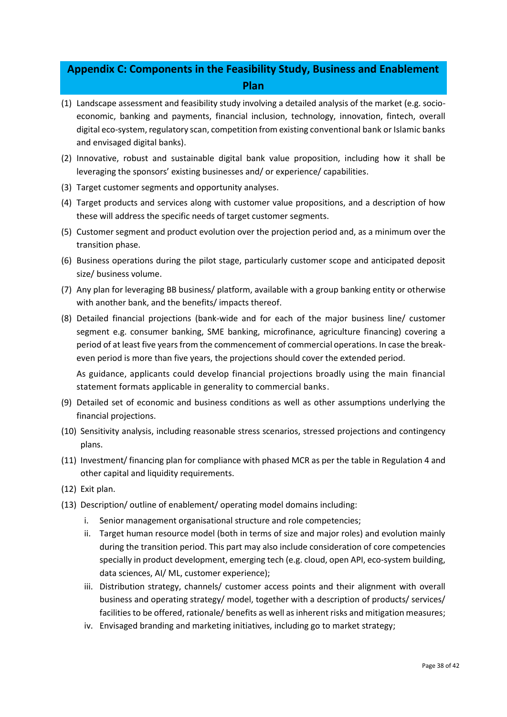# **Appendix C: Components in the Feasibility Study, Business and Enablement Plan**

- (1) Landscape assessment and feasibility study involving a detailed analysis of the market (e.g. socioeconomic, banking and payments, financial inclusion, technology, innovation, fintech, overall digital eco-system, regulatory scan, competition from existing conventional bank or Islamic banks and envisaged digital banks).
- (2) Innovative, robust and sustainable digital bank value proposition, including how it shall be leveraging the sponsors' existing businesses and/ or experience/ capabilities.
- (3) Target customer segments and opportunity analyses.
- (4) Target products and services along with customer value propositions, and a description of how these will address the specific needs of target customer segments.
- (5) Customer segment and product evolution over the projection period and, as a minimum over the transition phase.
- (6) Business operations during the pilot stage, particularly customer scope and anticipated deposit size/ business volume.
- (7) Any plan for leveraging BB business/ platform, available with a group banking entity or otherwise with another bank, and the benefits/ impacts thereof.
- (8) Detailed financial projections (bank-wide and for each of the major business line/ customer segment e.g. consumer banking, SME banking, microfinance, agriculture financing) covering a period of at least five years from the commencement of commercial operations. In case the breakeven period is more than five years, the projections should cover the extended period.

As guidance, applicants could develop financial projections broadly using the main financial statement formats applicable in generality to commercial banks.

- (9) Detailed set of economic and business conditions as well as other assumptions underlying the financial projections.
- (10) Sensitivity analysis, including reasonable stress scenarios, stressed projections and contingency plans.
- (11) Investment/ financing plan for compliance with phased MCR as per the table in Regulation 4 and other capital and liquidity requirements.
- (12) Exit plan.
- (13) Description/ outline of enablement/ operating model domains including:
	- i. Senior management organisational structure and role competencies;
	- ii. Target human resource model (both in terms of size and major roles) and evolution mainly during the transition period. This part may also include consideration of core competencies specially in product development, emerging tech (e.g. cloud, open API, eco-system building, data sciences, AI/ ML, customer experience);
	- iii. Distribution strategy, channels/ customer access points and their alignment with overall business and operating strategy/ model, together with a description of products/ services/ facilities to be offered, rationale/ benefits as well as inherent risks and mitigation measures;
	- iv. Envisaged branding and marketing initiatives, including go to market strategy;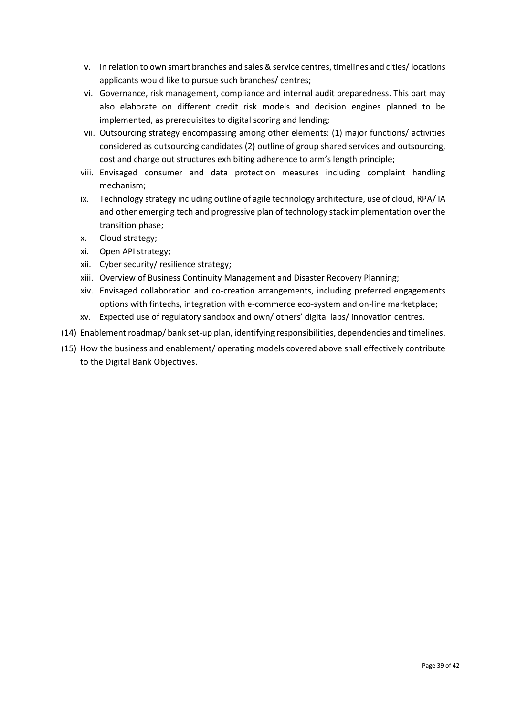- v. In relation to own smart branches and sales & service centres, timelines and cities/ locations applicants would like to pursue such branches/ centres;
- vi. Governance, risk management, compliance and internal audit preparedness. This part may also elaborate on different credit risk models and decision engines planned to be implemented, as prerequisites to digital scoring and lending;
- vii. Outsourcing strategy encompassing among other elements: (1) major functions/ activities considered as outsourcing candidates (2) outline of group shared services and outsourcing, cost and charge out structures exhibiting adherence to arm's length principle;
- viii. Envisaged consumer and data protection measures including complaint handling mechanism;
- ix. Technology strategy including outline of agile technology architecture, use of cloud, RPA/ IA and other emerging tech and progressive plan of technology stack implementation over the transition phase;
- x. Cloud strategy;
- xi. Open API strategy;
- xii. Cyber security/ resilience strategy;
- xiii. Overview of Business Continuity Management and Disaster Recovery Planning;
- xiv. Envisaged collaboration and co-creation arrangements, including preferred engagements options with fintechs, integration with e-commerce eco-system and on-line marketplace;
- xv. Expected use of regulatory sandbox and own/ others' digital labs/ innovation centres.
- (14) Enablement roadmap/ bank set-up plan, identifying responsibilities, dependencies and timelines.
- (15) How the business and enablement/ operating models covered above shall effectively contribute to the Digital Bank Objectives.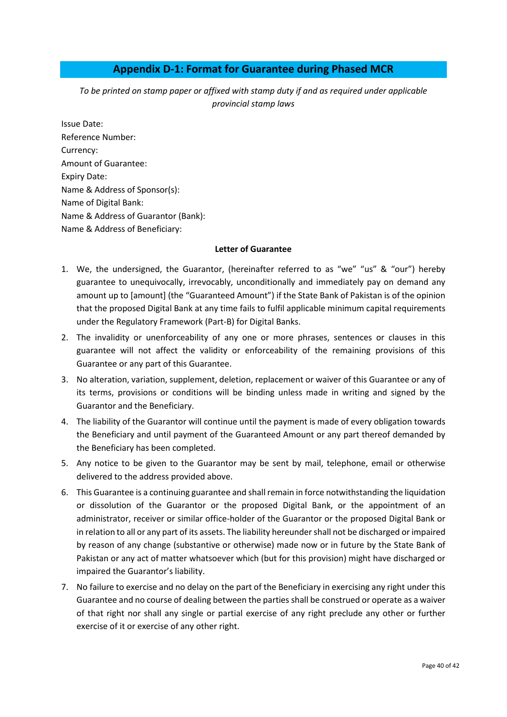## **Appendix D-1: Format for Guarantee during Phased MCR**

*To be printed on stamp paper or affixed with stamp duty if and as required under applicable provincial stamp laws*

Issue Date: Reference Number: Currency: Amount of Guarantee: Expiry Date: Name & Address of Sponsor(s): Name of Digital Bank: Name & Address of Guarantor (Bank): Name & Address of Beneficiary:

#### **Letter of Guarantee**

- 1. We, the undersigned, the Guarantor, (hereinafter referred to as "we" "us" & "our") hereby guarantee to unequivocally, irrevocably, unconditionally and immediately pay on demand any amount up to [amount] (the "Guaranteed Amount") if the State Bank of Pakistan is of the opinion that the proposed Digital Bank at any time fails to fulfil applicable minimum capital requirements under the Regulatory Framework (Part-B) for Digital Banks.
- 2. The invalidity or unenforceability of any one or more phrases, sentences or clauses in this guarantee will not affect the validity or enforceability of the remaining provisions of this Guarantee or any part of this Guarantee.
- 3. No alteration, variation, supplement, deletion, replacement or waiver of this Guarantee or any of its terms, provisions or conditions will be binding unless made in writing and signed by the Guarantor and the Beneficiary.
- 4. The liability of the Guarantor will continue until the payment is made of every obligation towards the Beneficiary and until payment of the Guaranteed Amount or any part thereof demanded by the Beneficiary has been completed.
- 5. Any notice to be given to the Guarantor may be sent by mail, telephone, email or otherwise delivered to the address provided above.
- 6. This Guarantee is a continuing guarantee and shall remain in force notwithstanding the liquidation or dissolution of the Guarantor or the proposed Digital Bank, or the appointment of an administrator, receiver or similar office-holder of the Guarantor or the proposed Digital Bank or in relation to all or any part of its assets. The liability hereunder shall not be discharged or impaired by reason of any change (substantive or otherwise) made now or in future by the State Bank of Pakistan or any act of matter whatsoever which (but for this provision) might have discharged or impaired the Guarantor's liability.
- 7. No failure to exercise and no delay on the part of the Beneficiary in exercising any right under this Guarantee and no course of dealing between the parties shall be construed or operate as a waiver of that right nor shall any single or partial exercise of any right preclude any other or further exercise of it or exercise of any other right.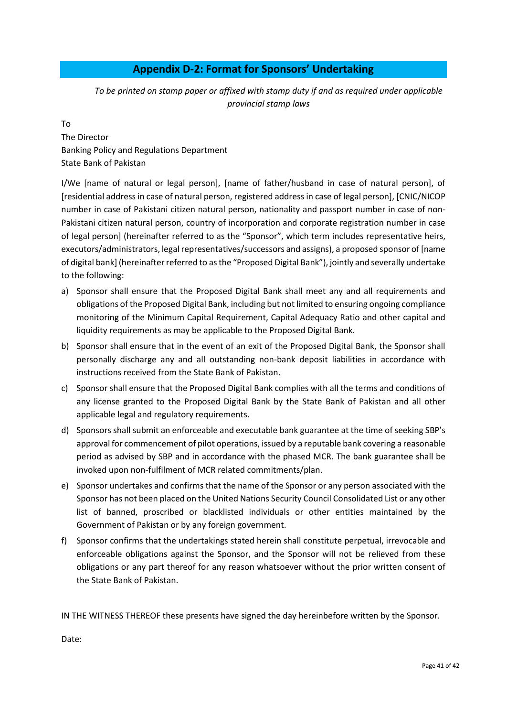## **Appendix D-2: Format for Sponsors' Undertaking**

*To be printed on stamp paper or affixed with stamp duty if and as required under applicable provincial stamp laws*

To The Director Banking Policy and Regulations Department State Bank of Pakistan

I/We [name of natural or legal person], [name of father/husband in case of natural person], of [residential address in case of natural person, registered address in case of legal person], [CNIC/NICOP number in case of Pakistani citizen natural person, nationality and passport number in case of non-Pakistani citizen natural person, country of incorporation and corporate registration number in case of legal person] (hereinafter referred to as the "Sponsor", which term includes representative heirs, executors/administrators, legal representatives/successors and assigns), a proposed sponsor of [name of digital bank] (hereinafter referred to as the "Proposed Digital Bank"), jointly and severally undertake to the following:

- a) Sponsor shall ensure that the Proposed Digital Bank shall meet any and all requirements and obligations of the Proposed Digital Bank, including but not limited to ensuring ongoing compliance monitoring of the Minimum Capital Requirement, Capital Adequacy Ratio and other capital and liquidity requirements as may be applicable to the Proposed Digital Bank.
- b) Sponsor shall ensure that in the event of an exit of the Proposed Digital Bank, the Sponsor shall personally discharge any and all outstanding non-bank deposit liabilities in accordance with instructions received from the State Bank of Pakistan.
- c) Sponsor shall ensure that the Proposed Digital Bank complies with all the terms and conditions of any license granted to the Proposed Digital Bank by the State Bank of Pakistan and all other applicable legal and regulatory requirements.
- d) Sponsors shall submit an enforceable and executable bank guarantee at the time of seeking SBP's approval for commencement of pilot operations, issued by a reputable bank covering a reasonable period as advised by SBP and in accordance with the phased MCR. The bank guarantee shall be invoked upon non-fulfilment of MCR related commitments/plan.
- e) Sponsor undertakes and confirms that the name of the Sponsor or any person associated with the Sponsor has not been placed on the United Nations Security Council Consolidated List or any other list of banned, proscribed or blacklisted individuals or other entities maintained by the Government of Pakistan or by any foreign government.
- f) Sponsor confirms that the undertakings stated herein shall constitute perpetual, irrevocable and enforceable obligations against the Sponsor, and the Sponsor will not be relieved from these obligations or any part thereof for any reason whatsoever without the prior written consent of the State Bank of Pakistan.

IN THE WITNESS THEREOF these presents have signed the day hereinbefore written by the Sponsor.

Date: